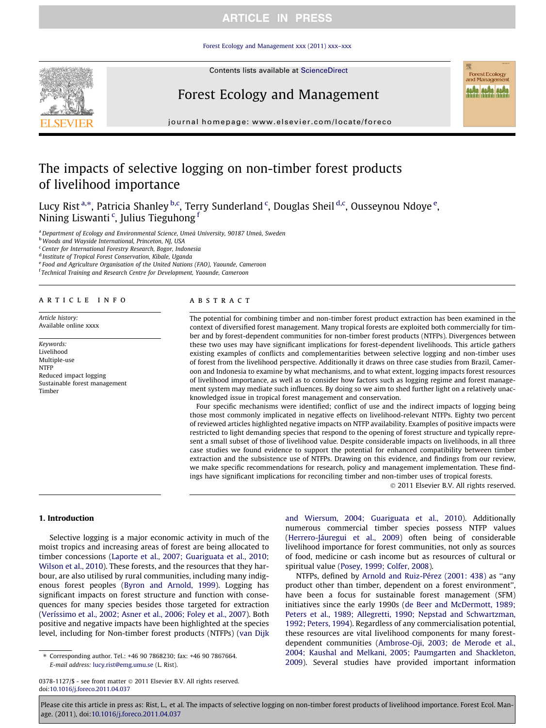## [Forest Ecology and Management xxx \(2011\) xxx–xxx](http://dx.doi.org/10.1016/j.foreco.2011.04.037)



Contents lists available at [ScienceDirect](http://www.sciencedirect.com/science/journal/03781127)

# Forest Ecology and Management

journal homepage: [www.elsevier.com/locate/foreco](http://www.elsevier.com/locate/foreco)

# The impacts of selective logging on non-timber forest products of livelihood importance

Lucy Rist<sup>a,</sup>\*, Patricia Shanley <sup>b,c</sup>, Terry Sunderland <sup>c</sup>, Douglas Sheil <sup>d,c</sup>, Ousseynou Ndoye <sup>e</sup>, Nining Liswanti<sup>c</sup>, Julius Tieguhong <sup>f</sup>

<sup>a</sup> Department of Ecology and Environmental Science, Umeå University, 90187 Umeå, Sweden

**b** Woods and Wayside International, Princeton, NJ, USA

<sup>c</sup> Center for International Forestry Research, Bogor, Indonesia

<sup>d</sup> Institute of Tropical Forest Conservation, Kibale, Uganda

<sup>e</sup> Food and Agriculture Organisation of the United Nations (FAO), Yaounde, Cameroon

<sup>f</sup> Technical Training and Research Centre for Development, Yaounde, Cameroon

## article info

Article history: Available online xxxx

Keywords: Livelihood Multiple-use NTFP Reduced impact logging Sustainable forest management Timber

## ABSTRACT

The potential for combining timber and non-timber forest product extraction has been examined in the context of diversified forest management. Many tropical forests are exploited both commercially for timber and by forest-dependent communities for non-timber forest products (NTFPs). Divergences between these two uses may have significant implications for forest-dependent livelihoods. This article gathers existing examples of conflicts and complementarities between selective logging and non-timber uses of forest from the livelihood perspective. Additionally it draws on three case studies from Brazil, Cameroon and Indonesia to examine by what mechanisms, and to what extent, logging impacts forest resources of livelihood importance, as well as to consider how factors such as logging regime and forest management system may mediate such influences. By doing so we aim to shed further light on a relatively unacknowledged issue in tropical forest management and conservation.

Four specific mechanisms were identified; conflict of use and the indirect impacts of logging being those most commonly implicated in negative effects on livelihood-relevant NTFPs. Eighty two percent of reviewed articles highlighted negative impacts on NTFP availability. Examples of positive impacts were restricted to light demanding species that respond to the opening of forest structure and typically represent a small subset of those of livelihood value. Despite considerable impacts on livelihoods, in all three case studies we found evidence to support the potential for enhanced compatibility between timber extraction and the subsistence use of NTFPs. Drawing on this evidence, and findings from our review, we make specific recommendations for research, policy and management implementation. These findings have significant implications for reconciling timber and non-timber uses of tropical forests.

© 2011 Elsevier B.V. All rights reserved.

Forest Ecology<br>and Management | 麻麻| 麻麻| 麻麻

## 1. Introduction

Selective logging is a major economic activity in much of the moist tropics and increasing areas of forest are being allocated to timber concessions ([Laporte et al., 2007; Guariguata et al., 2010;](#page-11-0) [Wilson et al., 2010](#page-11-0)). These forests, and the resources that they harbour, are also utilised by rural communities, including many indigenous forest peoples [\(Byron and Arnold, 1999](#page-10-0)). Logging has significant impacts on forest structure and function with consequences for many species besides those targeted for extraction ([Veríssimo et al., 2002; Asner et al., 2006; Foley et al., 2007\)](#page-12-0). Both positive and negative impacts have been highlighted at the species level, including for Non-timber forest products (NTFPs) ([van Dijk](#page-12-0)

[and Wiersum, 2004; Guariguata et al., 2010](#page-12-0)). Additionally numerous commercial timber species possess NTFP values ([Herrero-Jáuregui et al., 2009](#page-10-0)) often being of considerable livelihood importance for forest communities, not only as sources of food, medicine or cash income but as resources of cultural or spiritual value ([Posey, 1999; Colfer, 2008](#page-11-0)).

NTFPs, defined by [Arnold and Ruiz-Pérez \(2001: 438\)](#page-10-0) as ''any product other than timber, dependent on a forest environment'', have been a focus for sustainable forest management (SFM) initiatives since the early 1990s ([de Beer and McDermott, 1989;](#page-10-0) [Peters et al., 1989; Allegretti, 1990; Nepstad and Schwartzman,](#page-10-0) [1992; Peters, 1994](#page-10-0)). Regardless of any commercialisation potential, these resources are vital livelihood components for many forestdependent communities [\(Ambrose-Oji, 2003; de Merode et al.,](#page-10-0) [2004; Kaushal and Melkani, 2005; Paumgarten and Shackleton,](#page-10-0) [2009](#page-10-0)). Several studies have provided important information

<sup>⇑</sup> Corresponding author. Tel.: +46 90 7868230; fax: +46 90 7867664. E-mail address: [lucy.rist@emg.umu.se](mailto:lucy.rist@emg.umu.se) (L. Rist).

<sup>0378-1127/\$ -</sup> see front matter © 2011 Elsevier B.V. All rights reserved. doi[:10.1016/j.foreco.2011.04.037](http://dx.doi.org/10.1016/j.foreco.2011.04.037)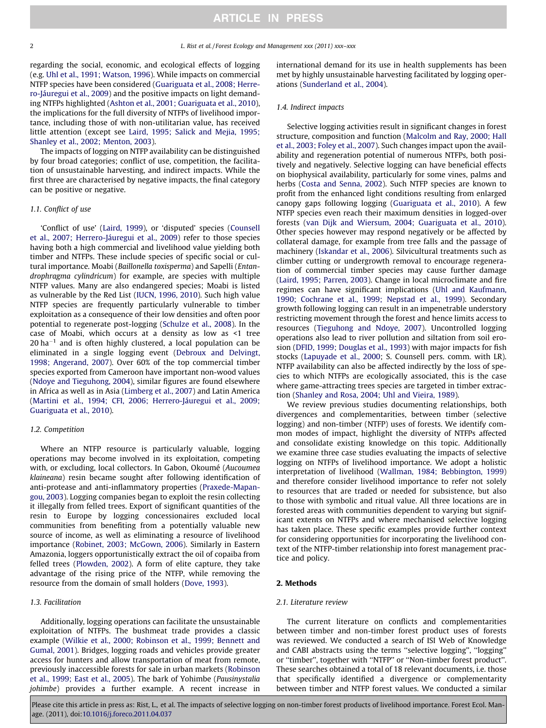regarding the social, economic, and ecological effects of logging (e.g. [Uhl et al., 1991; Watson, 1996](#page-12-0)). While impacts on commercial NTFP species have been considered ([Guariguata et al., 2008; Herre](#page-10-0)[ro-Jáuregui et al., 2009](#page-10-0)) and the positive impacts on light demanding NTFPs highlighted [\(Ashton et al., 2001; Guariguata et al., 2010\)](#page-10-0), the implications for the full diversity of NTFPs of livelihood importance, including those of with non-utilitarian value, has received little attention (except see [Laird, 1995; Salick and Mejia, 1995;](#page-10-0) [Shanley et al., 2002; Menton, 2003](#page-10-0)).

The impacts of logging on NTFP availability can be distinguished by four broad categories; conflict of use, competition, the facilitation of unsustainable harvesting, and indirect impacts. While the first three are characterised by negative impacts, the final category can be positive or negative.

## 1.1. Conflict of use

'Conflict of use' [\(Laird, 1999](#page-10-0)), or 'disputed' species [\(Counsell](#page-10-0) [et al., 2007; Herrero-Jáuregui et al., 2009\)](#page-10-0) refer to those species having both a high commercial and livelihood value yielding both timber and NTFPs. These include species of specific social or cultural importance. Moabi (Baillonella toxisperma) and Sapelli (Entandrophragma cylindricum) for example, are species with multiple NTFP values. Many are also endangered species; Moabi is listed as vulnerable by the Red List ([IUCN, 1996, 2010\)](#page-10-0). Such high value NTFP species are frequently particularly vulnerable to timber exploitation as a consequence of their low densities and often poor potential to regenerate post-logging ([Schulze et al., 2008\)](#page-11-0). In the case of Moabi, which occurs at a density as low as <1 tree  $20$  ha<sup> $-1$ </sup> and is often highly clustered, a local population can be eliminated in a single logging event [\(Debroux and Delvingt,](#page-10-0) [1998; Angerand, 2007](#page-10-0)). Over 60% of the top commercial timber species exported from Cameroon have important non-wood values ([Ndoye and Tieguhong, 2004](#page-11-0)), similar figures are found elsewhere in Africa as well as in Asia ([Limberg et al., 2007](#page-11-0)) and Latin America ([Martini et al., 1994; CFI, 2006; Herrero-Jáuregui et al., 2009;](#page-11-0) [Guariguata et al., 2010](#page-11-0)).

#### 1.2. Competition

Where an NTFP resource is particularly valuable, logging operations may become involved in its exploitation, competing with, or excluding, local collectors. In Gabon, Okoumé (Aucoumea klaineana) resin became sought after following identification of anti-protease and anti-inflammatory properties [\(Praxede-Mapan](#page-11-0)[gou, 2003](#page-11-0)). Logging companies began to exploit the resin collecting it illegally from felled trees. Export of significant quantities of the resin to Europe by logging concessionaires excluded local communities from benefiting from a potentially valuable new source of income, as well as eliminating a resource of livelihood importance [\(Robinet, 2003; McGown, 2006\)](#page-11-0). Similarly in Eastern Amazonia, loggers opportunistically extract the oil of copaiba from felled trees [\(Plowden, 2002\)](#page-11-0). A form of elite capture, they take advantage of the rising price of the NTFP, while removing the resource from the domain of small holders ([Dove, 1993](#page-10-0)).

## 1.3. Facilitation

Additionally, logging operations can facilitate the unsustainable exploitation of NTFPs. The bushmeat trade provides a classic example [\(Wilkie et al., 2000; Robinson et al., 1999; Bennett and](#page-12-0) [Gumal, 2001](#page-12-0)). Bridges, logging roads and vehicles provide greater access for hunters and allow transportation of meat from remote, previously inaccessible forests for sale in urban markets ([Robinson](#page-11-0) [et al., 1999; East et al., 2005](#page-11-0)). The bark of Yohimbe (Pausinystalia johimbe) provides a further example. A recent increase in international demand for its use in health supplements has been met by highly unsustainable harvesting facilitated by logging operations [\(Sunderland et al., 2004](#page-11-0)).

#### 1.4. Indirect impacts

Selective logging activities result in significant changes in forest structure, composition and function [\(Malcolm and Ray, 2000; Hall](#page-11-0) [et al., 2003; Foley et al., 2007](#page-11-0)). Such changes impact upon the availability and regeneration potential of numerous NTFPs, both positively and negatively. Selective logging can have beneficial effects on biophysical availability, particularly for some vines, palms and herbs [\(Costa and Senna, 2002](#page-10-0)). Such NTFP species are known to profit from the enhanced light conditions resulting from enlarged canopy gaps following logging [\(Guariguata et al., 2010](#page-10-0)). A few NTFP species even reach their maximum densities in logged-over forests [\(van Dijk and Wiersum, 2004; Guariguata et al., 2010\)](#page-12-0). Other species however may respond negatively or be affected by collateral damage, for example from tree falls and the passage of machinery ([Iskandar et al., 2006\)](#page-10-0). Silvicultural treatments such as climber cutting or undergrowth removal to encourage regeneration of commercial timber species may cause further damage ([Laird, 1995; Parren, 2003](#page-10-0)). Change in local microclimate and fire regimes can have significant implications [\(Uhl and Kaufmann,](#page-12-0) [1990; Cochrane et al., 1999; Nepstad et al., 1999](#page-12-0)). Secondary growth following logging can result in an impenetrable understory restricting movement through the forest and hence limits access to resources ([Tieguhong and Ndoye, 2007](#page-11-0)). Uncontrolled logging operations also lead to river pollution and siltation from soil erosion ([DFID, 1999; Douglas et al., 1993](#page-10-0)) with major impacts for fish stocks ([Lapuyade et al., 2000;](#page-11-0) S. Counsell pers. comm. with LR). NTFP availability can also be affected indirectly by the loss of species to which NTFPs are ecologically associated, this is the case where game-attracting trees species are targeted in timber extraction [\(Shanley and Rosa, 2004; Uhl and Vieira, 1989](#page-11-0)).

We review previous studies documenting relationships, both divergences and complementarities, between timber (selective logging) and non-timber (NTFP) uses of forests. We identify common modes of impact, highlight the diversity of NTFPs affected and consolidate existing knowledge on this topic. Additionally we examine three case studies evaluating the impacts of selective logging on NTFPs of livelihood importance. We adopt a holistic interpretation of livelihood ([Wallman, 1984; Bebbington, 1999\)](#page-12-0) and therefore consider livelihood importance to refer not solely to resources that are traded or needed for subsistence, but also to those with symbolic and ritual value. All three locations are in forested areas with communities dependent to varying but significant extents on NTFPs and where mechanised selective logging has taken place. These specific examples provide further context for considering opportunities for incorporating the livelihood context of the NTFP-timber relationship into forest management practice and policy.

## 2. Methods

#### 2.1. Literature review

The current literature on conflicts and complementarities between timber and non-timber forest product uses of forests was reviewed. We conducted a search of ISI Web of Knowledge and CABI abstracts using the terms ''selective logging'', ''logging'' or ''timber'', together with ''NTFP'' or ''Non-timber forest product''. These searches obtained a total of 18 relevant documents, i.e. those that specifically identified a divergence or complementarity between timber and NTFP forest values. We conducted a similar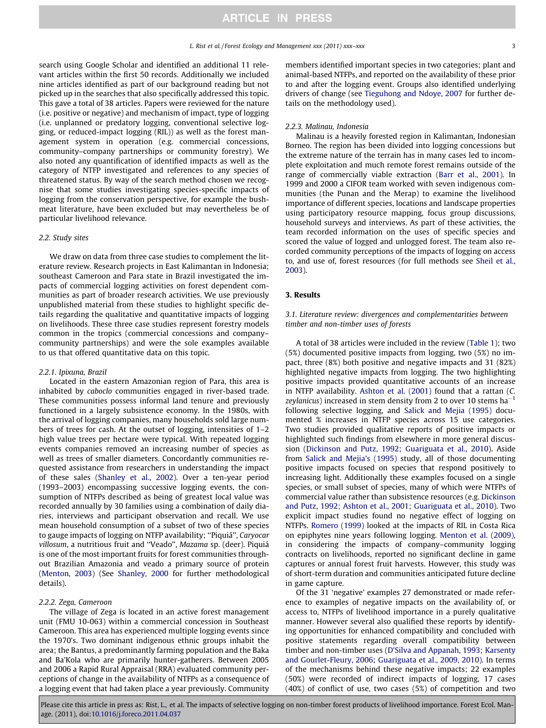search using Google Scholar and identified an additional 11 relevant articles within the first 50 records. Additionally we included nine articles identified as part of our background reading but not picked up in the searches that also specifically addressed this topic. This gave a total of 38 articles. Papers were reviewed for the nature (i.e. positive or negative) and mechanism of impact, type of logging (i.e. unplanned or predatory logging, conventional selective logging, or reduced-impact logging (RIL)) as well as the forest management system in operation (e.g. commercial concessions, community–company partnerships or community forestry). We also noted any quantification of identified impacts as well as the category of NTFP investigated and references to any species of threatened status. By way of the search method chosen we recognise that some studies investigating species-specific impacts of logging from the conservation perspective, for example the bushmeat literature, have been excluded but may nevertheless be of particular livelihood relevance.

## 2.2. Study sites

We draw on data from three case studies to complement the literature review. Research projects in East Kalimantan in Indonesia; southeast Cameroon and Para state in Brazil investigated the impacts of commercial logging activities on forest dependent communities as part of broader research activities. We use previously unpublished material from these studies to highlight specific details regarding the qualitative and quantitative impacts of logging on livelihoods. These three case studies represent forestry models common in the tropics (commercial concessions and company– community partnerships) and were the sole examples available to us that offered quantitative data on this topic.

### 2.2.1. Ipixuna, Brazil

Located in the eastern Amazonian region of Para, this area is inhabited by caboclo communities engaged in river-based trade. These communities possess informal land tenure and previously functioned in a largely subsistence economy. In the 1980s, with the arrival of logging companies, many households sold large numbers of trees for cash. At the outset of logging, intensities of 1–2 high value trees per hectare were typical. With repeated logging events companies removed an increasing number of species as well as trees of smaller diameters. Concordantly communities requested assistance from researchers in understanding the impact of these sales [\(Shanley et al., 2002](#page-11-0)). Over a ten-year period (1993–2003) encompassing successive logging events, the consumption of NTFPs described as being of greatest local value was recorded annually by 30 families using a combination of daily diaries, interviews and participant observation and recall. We use mean household consumption of a subset of two of these species to gauge impacts of logging on NTFP availability; ''Piquiá'', Caryocar villosum, a nutritious fruit and ''Veado'', Mazama sp. (deer). Piquiá is one of the most important fruits for forest communities throughout Brazilian Amazonia and veado a primary source of protein ([Menton, 2003\)](#page-11-0) (See [Shanley, 2000](#page-11-0) for further methodological details).

## 2.2.2. Zega, Cameroon

The village of Zega is located in an active forest management unit (FMU 10-063) within a commercial concession in Southeast Cameroon. This area has experienced multiple logging events since the 1970's. Two dominant indigenous ethnic groups inhabit the area; the Bantus, a predominantly farming population and the Baka and Ba'Kola who are primarily hunter-gatherers. Between 2005 and 2006 a Rapid Rural Appraisal (RRA) evaluated community perceptions of change in the availability of NTFPs as a consequence of a logging event that had taken place a year previously. Community

members identified important species in two categories; plant and animal-based NTFPs, and reported on the availability of these prior to and after the logging event. Groups also identified underlying drivers of change (see [Tieguhong and Ndoye, 2007](#page-11-0) for further details on the methodology used).

## 2.2.3. Malinau, Indonesia

Malinau is a heavily forested region in Kalimantan, Indonesian Borneo. The region has been divided into logging concessions but the extreme nature of the terrain has in many cases led to incomplete exploitation and much remote forest remains outside of the range of commercially viable extraction ([Barr et al., 2001](#page-10-0)). In 1999 and 2000 a CIFOR team worked with seven indigenous communities (the Punan and the Merap) to examine the livelihood importance of different species, locations and landscape properties using participatory resource mapping, focus group discussions, household surveys and interviews. As part of these activities, the team recorded information on the uses of specific species and scored the value of logged and unlogged forest. The team also recorded community perceptions of the impacts of logging on access to, and use of, forest resources (for full methods see [Sheil et al.,](#page-11-0) [2003](#page-11-0)).

## 3. Results

## 3.1. Literature review: divergences and complementarities between timber and non-timber uses of forests

A total of 38 articles were included in the review ([Table 1\)](#page-3-0); two (5%) documented positive impacts from logging, two (5%) no impact, three (8%) both positive and negative impacts and 31 (82%) highlighted negative impacts from logging. The two highlighting positive impacts provided quantitative accounts of an increase in NTFP availability. [Ashton et al. \(2001\)](#page-10-0) found that a rattan (C. zeylanicus) increased in stem density from 2 to over 10 stems ha<sup>-1</sup> following selective logging, and [Salick and Mejia \(1995\)](#page-11-0) documented % increases in NTFP species across 15 use categories. Two studies provided qualitative reports of positive impacts or highlighted such findings from elsewhere in more general discussion [\(Dickinson and Putz, 1992; Guariguata et al., 2010\)](#page-10-0). Aside from [Salick and Mejia's \(1995\)](#page-11-0) study, all of those documenting positive impacts focused on species that respond positively to increasing light. Additionally these examples focused on a single species, or small subset of species, many of which were NTFPs of commercial value rather than subsistence resources (e.g. [Dickinson](#page-10-0) [and Putz, 1992; Ashton et al., 2001; Guariguata et al., 2010\)](#page-10-0). Two explicit impact studies found no negative effect of logging on NTFPs. [Romero \(1999\)](#page-11-0) looked at the impacts of RIL in Costa Rica on epiphytes nine years following logging. [Menton et al. \(2009\),](#page-11-0) in considering the impacts of company–community logging contracts on livelihoods, reported no significant decline in game captures or annual forest fruit harvests. However, this study was of short-term duration and communities anticipated future decline in game capture.

Of the 31 'negative' examples 27 demonstrated or made reference to examples of negative impacts on the availability of, or access to, NTFPs of livelihood importance in a purely qualitative manner. However several also qualified these reports by identifying opportunities for enhanced compatibility and concluded with positive statements regarding overall compatibility between timber and non-timber uses [\(D'Silva and Appanah, 1993; Karsenty](#page-10-0) [and Gourlet-Fleury, 2006; Guariguata et al., 2009, 2010\)](#page-10-0). In terms of the mechanisms behind these negative impacts; 22 examples (50%) were recorded of indirect impacts of logging, 17 cases (40%) of conflict of use, two cases (5%) of competition and two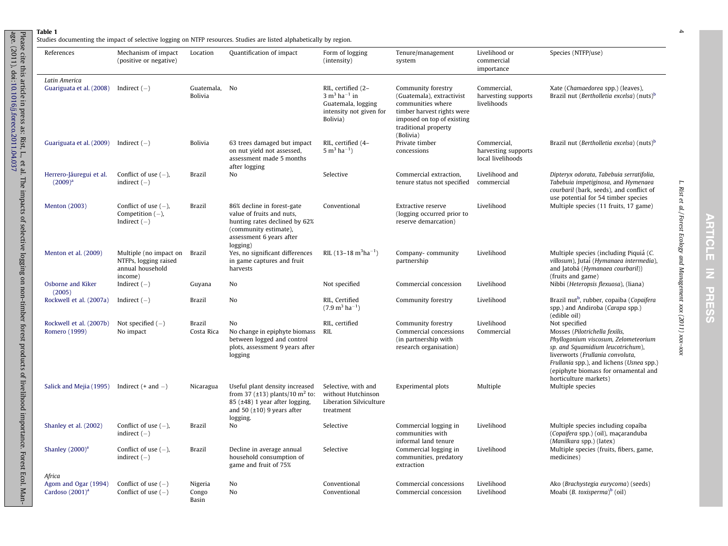## Table 1

<span id="page-3-0"></span>

| References                                                 | Mechanism of impact<br>(positive or negative)                                         | Location                        | Quantification of impact                                                                                                                                            | Form of logging<br>(intensity)                                                                                         | Tenure/management<br>system                                                                                                                                           | Livelihood or<br>commercial<br>importance               | Species (NTFP/use)                                                                                                                                                                                                                                                             |
|------------------------------------------------------------|---------------------------------------------------------------------------------------|---------------------------------|---------------------------------------------------------------------------------------------------------------------------------------------------------------------|------------------------------------------------------------------------------------------------------------------------|-----------------------------------------------------------------------------------------------------------------------------------------------------------------------|---------------------------------------------------------|--------------------------------------------------------------------------------------------------------------------------------------------------------------------------------------------------------------------------------------------------------------------------------|
| Latin America<br>Guariguata et al. $(2008)$ Indirect $(-)$ |                                                                                       | Guatemala, No<br><b>Bolivia</b> |                                                                                                                                                                     | RIL, certified (2-<br>$3 \text{ m}^3$ ha <sup>-1</sup> in<br>Guatemala, logging<br>intensity not given for<br>Bolivia) | Community forestry<br>(Guatemala), extractivist<br>communities where<br>timber harvest rights were<br>imposed on top of existing<br>traditional property<br>(Bolivia) | Commercial,<br>harvesting supports<br>livelihoods       | Xate (Chamaedorea spp.) (leaves),<br>Brazil nut (Bertholletia excelsa) (nuts) <sup>b</sup>                                                                                                                                                                                     |
| Guariguata et al. $(2009)$ Indirect $(-)$                  |                                                                                       | <b>Bolivia</b>                  | 63 trees damaged but impact<br>on nut yield not assessed,<br>assessment made 5 months<br>after logging                                                              | RIL, certified (4-<br>$5 \text{ m}^3 \text{ ha}^{-1}$ )                                                                | Private timber<br>concessions                                                                                                                                         | Commercial,<br>harvesting supports<br>local livelihoods | Brazil nut (Bertholletia excelsa) (nuts) <sup>b</sup>                                                                                                                                                                                                                          |
| Herrero-Jáuregui et al.<br>$(2009)^{a}$                    | Conflict of use $(-)$ ,<br>indirect $(-)$                                             | <b>Brazil</b>                   | No                                                                                                                                                                  | Selective                                                                                                              | Commercial extraction,<br>tenure status not specified                                                                                                                 | Livelihood and<br>commercial                            | Dipteryx odorata, Tabebuia serratifolia,<br>Tabebuia impetiginosa, and Hymenaea<br>courbaril (bark, seeds), and conflict of<br>use potential for 54 timber species                                                                                                             |
| <b>Menton</b> (2003)                                       | Conflict of use $(-)$ ,<br>Competition $(-)$ ,<br>Indirect $(-)$                      | <b>Brazil</b>                   | 86% decline in forest-gate<br>value of fruits and nuts,<br>hunting rates declined by 62%<br>(community estimate),<br>assessment 6 years after<br>logging)           | Conventional                                                                                                           | Extractive reserve<br>(logging occurred prior to<br>reserve demarcation)                                                                                              | Livelihood                                              | Multiple species (11 fruits, 17 game)                                                                                                                                                                                                                                          |
| Menton et al. (2009)                                       | Multiple (no impact on Brazil<br>NTFPs, logging raised<br>annual household<br>income) |                                 | Yes, no significant differences<br>in game captures and fruit<br>harvests                                                                                           | RIL (13–18 m <sup>3</sup> ha <sup>-1</sup> )                                                                           | Company-community<br>partnership                                                                                                                                      | Livelihood                                              | Multiple species (including Piquiá (C.<br>villosum), Jutai (Hymanaea intermedia),<br>and Jatobá (Hymanaea courbaril))<br>(fruits and game)                                                                                                                                     |
| Osborne and Kiker<br>(2005)                                | Indirect $(-)$                                                                        | Guyana                          | No                                                                                                                                                                  | Not specified                                                                                                          | Commercial concession                                                                                                                                                 | Livelihood                                              | Nibbi (Heteropsis flexuosa), (liana)                                                                                                                                                                                                                                           |
| Rockwell et al. (2007a)                                    | Indirect $(-)$                                                                        | <b>Brazil</b>                   | No                                                                                                                                                                  | RIL, Certified<br>$(7.9 \text{ m}^3 \text{ ha}^{-1})$                                                                  | Community forestry                                                                                                                                                    | Livelihood                                              | Brazil nut <sup>b</sup> , rubber, copaiba (Copaifera<br>spp.) and Andiroba (Carapa spp.)<br>(edible oil)                                                                                                                                                                       |
| Rockwell et al. (2007b)<br>Romero (1999)                   | Not specified $(-)$<br>No impact                                                      | <b>Brazil</b><br>Costa Rica     | No<br>No change in epiphyte biomass<br>between logged and control<br>plots, assessment 9 years after<br>logging                                                     | RIL, certified<br>RIL                                                                                                  | Community forestry<br>Commercial concessions<br>(in partnership with)<br>research organisation)                                                                       | Livelihood<br>Commercial                                | Not specified<br>Mosses (Pilotrichella fexilis,<br>Phyllogonium viscosum, Zelometeorium<br>sp. and Squamidium leucotrichum),<br>liverworts (Frullania convoluta,<br>Frullania spp.), and lichens (Usnea spp.)<br>(epiphyte biomass for ornamental and<br>horticulture markets) |
| Salick and Mejia (1995) Indirect $(+$ and $-)$             |                                                                                       | Nicaragua                       | Useful plant density increased<br>from 37 ( $\pm$ 13) plants/10 m <sup>2</sup> to:<br>85 (±48) 1 year after logging,<br>and 50 $(\pm 10)$ 9 years after<br>logging. | Selective, with and<br>without Hutchinson<br>Liberation Silviculture<br>treatment                                      | Experimental plots                                                                                                                                                    | Multiple                                                | Multiple species                                                                                                                                                                                                                                                               |
| Shanley et al. (2002)                                      | Conflict of use $(-)$ ,<br>indirect $(-)$                                             | Brazil                          | No                                                                                                                                                                  | Selective                                                                                                              | Commercial logging in<br>communities with<br>informal land tenure                                                                                                     | Livelihood                                              | Multiple species including copaíba<br>(Copaifera spp.) (oil), maçaranduba<br>(Manilkara spp.) (latex)                                                                                                                                                                          |
| Shanley $(2000)a$                                          | Conflict of use $(-)$ ,<br>indirect $(-)$                                             | <b>Brazil</b>                   | Decline in average annual<br>household consumption of<br>game and fruit of 75%                                                                                      | Selective                                                                                                              | Commercial logging in<br>communities, predatory<br>extraction                                                                                                         | Livelihood                                              | Multiple species (fruits, fibers, game,<br>medicines)                                                                                                                                                                                                                          |
| Africa<br>Agom and Ogar (1994)<br>Cardoso $(2001)^a$       | Conflict of use $(-)$<br>Conflict of use $(-)$                                        | Nigeria<br>Congo                | No<br>No                                                                                                                                                            | Conventional<br>Conventional                                                                                           | Commercial concessions<br>Commercial concession                                                                                                                       | Livelihood<br>Livelihood                                | Ako (Brachystegia eurycoma) (seeds)<br>Moabi ( <i>B. toxisperma</i> ) <sup>b</sup> (oil)                                                                                                                                                                                       |

**RTICLE**  $\overline{z}$ **PRESSS** 

L. Rist et al. / Forest Ecology and Management xxx (2011) xxx–xxx

L. Rist et al. / Forest Ecology and Management xxx (2011) xxx-xxx

4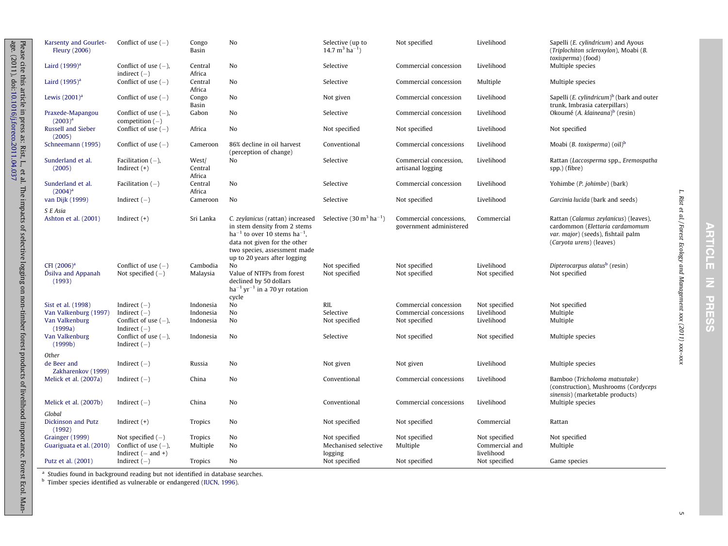<span id="page-4-0"></span>

|          | Karsenty and Gourlet-<br><b>Fleury</b> (2006)           | Conflict of use $(-)$                                       | Congo<br>Basin             | No                                                                                                                                                                                                         | Selective (up to<br>$14.7 \text{ m}^3 \text{ ha}^{-1}$ ) | Not specified                                      | Livelihood                      | Sapelli (E. cylindricum) and Ayous<br>(Triplochiton scleroxylon), Moabi (B.<br>toxisperma) (food)                                          |
|----------|---------------------------------------------------------|-------------------------------------------------------------|----------------------------|------------------------------------------------------------------------------------------------------------------------------------------------------------------------------------------------------------|----------------------------------------------------------|----------------------------------------------------|---------------------------------|--------------------------------------------------------------------------------------------------------------------------------------------|
|          | Laird $(1999)^a$                                        | Conflict of use $(-)$ ,<br>indirect $(-)$                   | Central<br>Africa          | No                                                                                                                                                                                                         | Selective                                                | Commercial concession                              | Livelihood                      | Multiple species                                                                                                                           |
|          | Laird $(1995)^{a}$                                      | Conflict of use $(-)$                                       | Central<br>Africa          | No                                                                                                                                                                                                         | Selective                                                | Commercial concession                              | Multiple                        | Multiple species                                                                                                                           |
|          | Lewis $(2001)^a$                                        | Conflict of use $(-)$                                       | Congo<br>Basin             | No                                                                                                                                                                                                         | Not given                                                | Commercial concession                              | Livelihood                      | Sapelli (E. cylindricum) <sup>b</sup> (bark and outer<br>trunk, Imbrasia caterpillars)                                                     |
|          | Praxede-Mapangou<br>$(2003)^{a}$                        | Conflict of use $(-)$ ,<br>competition $(-)$                | Gabon                      | No                                                                                                                                                                                                         | Selective                                                | Commercial concession                              | Livelihood                      | Okoumé (A. klaineana) <sup>b</sup> (resin)                                                                                                 |
|          | Russell and Sieber<br>(2005)                            | Conflict of use $(-)$                                       | Africa                     | No                                                                                                                                                                                                         | Not specified                                            | Not specified                                      | Livelihood                      | Not specified                                                                                                                              |
|          | Schneemann (1995)                                       | Conflict of use $(-)$                                       | Cameroon                   | 86% decline in oil harvest<br>(perception of change)                                                                                                                                                       | Conventional                                             | Commercial concessions                             | Livelihood                      | Moabi (B. toxisperma) (oil) <sup>b</sup>                                                                                                   |
|          | Sunderland et al.<br>(2005)                             | Facilitation $(-)$ ,<br>Indirect $(+)$                      | West/<br>Central           | No                                                                                                                                                                                                         | Selective                                                | Commercial concession,<br>artisanal logging        | Livelihood                      | Rattan (Laccosperma spp., Eremospatha<br>spp.) (fibre)                                                                                     |
|          |                                                         |                                                             | Africa                     |                                                                                                                                                                                                            |                                                          |                                                    |                                 |                                                                                                                                            |
|          | Sunderland et al.<br>$(2004)^{a}$                       | Facilitation $(-)$                                          | Central<br>Africa          | No                                                                                                                                                                                                         | Selective                                                | Commercial concession                              | Livelihood                      | Yohimbe (P. johimbe) (bark)                                                                                                                |
|          | van Dijk (1999)                                         | Indirect $(-)$                                              | Cameroon                   | No                                                                                                                                                                                                         | Selective                                                | Not specified                                      | Livelihood                      | Garcinia lucida (bark and seeds)                                                                                                           |
| S E Asia | Ashton et al. (2001)                                    | Indirect $(+)$                                              | Sri Lanka                  | C. zeylanicus (rattan) increased<br>in stem density from 2 stems<br>$ha^{-1}$ to over 10 stems $ha^{-1}$ ,<br>data not given for the other<br>two species, assessment made<br>up to 20 years after logging | Selective $(30 \text{ m}^3 \text{ ha}^{-1})$             | Commercial concessions,<br>government administered | Commercial                      | Rattan (Calamus zeylanicus) (leaves),<br>cardommon (Elettaria cardamomum<br>var. major) (seeds), fishtail palm<br>(Caryota urens) (leaves) |
|          | CFI (2006) <sup>a</sup><br>Dsilva and Appanah<br>(1993) | Conflict of use $(-)$<br>Not specified $(-)$                | Cambodia<br>Malaysia       | No<br>Value of NTFPs from forest<br>declined by 50 dollars<br>$ha^{-1}$ yr <sup>-1</sup> in a 70 yr rotation<br>cycle                                                                                      | Not specified<br>Not specified                           | Not specified<br>Not specified                     | Livelihood<br>Not specified     | Dipterocarpus alatus <sup>b</sup> (resin)<br>Not specified                                                                                 |
|          | Sist et al. (1998)                                      | Indirect $(-)$                                              | Indonesia                  | No                                                                                                                                                                                                         | RIL                                                      | Commercial concession                              | Not specified                   | Not specified                                                                                                                              |
|          | Van Valkenburg (1997)<br>Van Valkenburg<br>(1999a)      | Indirect $(-)$<br>Conflict of use $(-)$ ,<br>Indirect $(-)$ | Indonesia<br>Indonesia     | No<br>No                                                                                                                                                                                                   | Selective<br>Not specified                               | Commercial concessions<br>Not specified            | Livelihood<br>Livelihood        | Multiple<br>Multiple                                                                                                                       |
|          | Van Valkenburg<br>(1999b)                               | Conflict of use $(-)$ ,<br>Indirect $(-)$                   | Indonesia                  | No                                                                                                                                                                                                         | Selective                                                | Not specified                                      | Not specified                   | Multiple species                                                                                                                           |
| Other    |                                                         |                                                             |                            |                                                                                                                                                                                                            |                                                          |                                                    |                                 |                                                                                                                                            |
|          | de Beer and<br>Zakharenkov (1999)                       | Indirect $(-)$                                              | Russia                     | No                                                                                                                                                                                                         | Not given                                                | Not given                                          | Livelihood                      | Multiple species                                                                                                                           |
|          | Melick et al. (2007a)                                   | Indirect $(-)$                                              | China                      | No                                                                                                                                                                                                         | Conventional                                             | Commercial concessions                             | Livelihood                      | Bamboo (Tricholoma matsutake)<br>(construction), Mushrooms (Cordyceps<br>sinensis) (marketable products)                                   |
|          | Melick et al. (2007b)                                   | Indirect $(-)$                                              | China                      | No                                                                                                                                                                                                         | Conventional                                             | Commercial concessions                             | Livelihood                      | Multiple species                                                                                                                           |
| Global   | Dickinson and Putz<br>(1992)                            | Indirect $(+)$                                              | <b>Tropics</b>             | No                                                                                                                                                                                                         | Not specified                                            | Not specified                                      | Commercial                      | Rattan                                                                                                                                     |
|          | Grainger (1999)<br>Guariguata et al. (2010)             | Not specified $(-)$<br>Conflict of use $(-)$ ,              | <b>Tropics</b><br>Multiple | No<br>No                                                                                                                                                                                                   | Not specified<br>Mechanised selective                    | Not specified<br>Multiple                          | Not specified<br>Commercial and | Not specified<br>Multiple                                                                                                                  |
|          | Putz et al. (2001)                                      | Indirect $(-$ and $+)$<br>Indirect $(-)$                    | <b>Tropics</b>             | No                                                                                                                                                                                                         | logging<br>Not specified                                 | Not specified                                      | livelihood<br>Not specified     | Game species                                                                                                                               |

<sup>a</sup> Studies found in background reading but not identified in database searches.<br><sup>b</sup> Timber species identified as vulnerable or endangered ([IUCN,](#page-10-0) 1996).

L. Rist et al. / Forest Ecology and Management xxx (2011) xxx–xxx

L. Rist et al./Forest Ecology and Management xxx (2011) xxx-xxx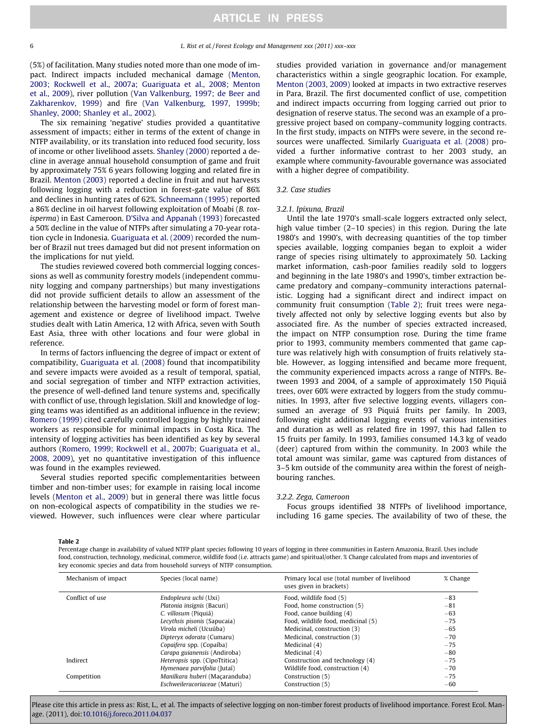(5%) of facilitation. Many studies noted more than one mode of impact. Indirect impacts included mechanical damage [\(Menton,](#page-11-0) [2003; Rockwell et al., 2007a; Guariguata et al., 2008; Menton](#page-11-0) [et al., 2009\)](#page-11-0), river pollution ([Van Valkenburg, 1997; de Beer and](#page-12-0) [Zakharenkov, 1999](#page-12-0)) and fire ([Van Valkenburg, 1997, 1999b;](#page-12-0) [Shanley, 2000; Shanley et al., 2002\)](#page-12-0).

The six remaining 'negative' studies provided a quantitative assessment of impacts; either in terms of the extent of change in NTFP availability, or its translation into reduced food security, loss of income or other livelihood assets. [Shanley \(2000\)](#page-11-0) reported a decline in average annual household consumption of game and fruit by approximately 75% 6 years following logging and related fire in Brazil. [Menton \(2003\)](#page-11-0) reported a decline in fruit and nut harvests following logging with a reduction in forest-gate value of 86% and declines in hunting rates of 62%. [Schneemann \(1995\)](#page-11-0) reported a 86% decline in oil harvest following exploitation of Moabi (B. toxisperma) in East Cameroon. [D'Silva and Appanah \(1993\)](#page-10-0) forecasted a 50% decline in the value of NTFPs after simulating a 70-year rotation cycle in Indonesia. [Guariguata et al. \(2009\)](#page-10-0) recorded the number of Brazil nut trees damaged but did not present information on the implications for nut yield.

The studies reviewed covered both commercial logging concessions as well as community forestry models (independent community logging and company partnerships) but many investigations did not provide sufficient details to allow an assessment of the relationship between the harvesting model or form of forest management and existence or degree of livelihood impact. Twelve studies dealt with Latin America, 12 with Africa, seven with South East Asia, three with other locations and four were global in reference.

In terms of factors influencing the degree of impact or extent of compatibility, [Guariguata et al. \(2008\)](#page-10-0) found that incompatibility and severe impacts were avoided as a result of temporal, spatial, and social segregation of timber and NTFP extraction activities, the presence of well-defined land tenure systems and, specifically with conflict of use, through legislation. Skill and knowledge of logging teams was identified as an additional influence in the review; [Romero \(1999\)](#page-11-0) cited carefully controlled logging by highly trained workers as responsible for minimal impacts in Costa Rica. The intensity of logging activities has been identified as key by several authors ([Romero, 1999; Rockwell et al., 2007b; Guariguata et al.,](#page-11-0) [2008, 2009\)](#page-11-0), yet no quantitative investigation of this influence was found in the examples reviewed.

Several studies reported specific complementarities between timber and non-timber uses; for example in raising local income levels ([Menton et al., 2009\)](#page-11-0) but in general there was little focus on non-ecological aspects of compatibility in the studies we reviewed. However, such influences were clear where particular studies provided variation in governance and/or management characteristics within a single geographic location. For example, [Menton \(2003, 2009\)](#page-11-0) looked at impacts in two extractive reserves in Para, Brazil. The first documented conflict of use, competition and indirect impacts occurring from logging carried out prior to designation of reserve status. The second was an example of a progressive project based on company–community logging contracts. In the first study, impacts on NTFPs were severe, in the second resources were unaffected. Similarly [Guariguata et al. \(2008\)](#page-10-0) provided a further informative contrast to her 2003 study, an example where community-favourable governance was associated with a higher degree of compatibility.

#### 3.2. Case studies

#### 3.2.1. Ipixuna, Brazil

Until the late 1970's small-scale loggers extracted only select, high value timber (2–10 species) in this region. During the late 1980's and 1990's, with decreasing quantities of the top timber species available, logging companies began to exploit a wider range of species rising ultimately to approximately 50. Lacking market information, cash-poor families readily sold to loggers and beginning in the late 1980's and 1990's, timber extraction became predatory and company–community interactions paternalistic. Logging had a significant direct and indirect impact on community fruit consumption (Table 2); fruit trees were negatively affected not only by selective logging events but also by associated fire. As the number of species extracted increased, the impact on NTFP consumption rose. During the time frame prior to 1993, community members commented that game capture was relatively high with consumption of fruits relatively stable. However, as logging intensified and became more frequent, the community experienced impacts across a range of NTFPs. Between 1993 and 2004, of a sample of approximately 150 Piquiá trees, over 60% were extracted by loggers from the study communities. In 1993, after five selective logging events, villagers consumed an average of 93 Piquiá fruits per family. In 2003, following eight additional logging events of various intensities and duration as well as related fire in 1997, this had fallen to 15 fruits per family. In 1993, families consumed 14.3 kg of veado (deer) captured from within the community. In 2003 while the total amount was similar, game was captured from distances of 3–5 km outside of the community area within the forest of neighbouring ranches.

#### 3.2.2. Zega, Cameroon

Focus groups identified 38 NTFPs of livelihood importance, including 16 game species. The availability of two of these, the

|--|--|

Percentage change in availability of valued NTFP plant species following 10 years of logging in three communities in Eastern Amazonia, Brazil. Uses include food, construction, technology, medicinal, commerce, wildlife food (i.e. attracts game) and spiritual/other. % Change calculated from maps and inventories of key economic species and data from household surveys of NTFP consumption.

| Mechanism of impact | Species (local name)           | Primary local use (total number of livelihood<br>uses given in brackets) | % Change |
|---------------------|--------------------------------|--------------------------------------------------------------------------|----------|
| Conflict of use     | Endopleura uchi (Uxi)          | Food, wildlife food (5)                                                  | $-83$    |
|                     | Platonia insignis (Bacuri)     | Food, home construction (5)                                              | $-81$    |
|                     | C. villosum (Piquiá)           | Food, canoe building (4)                                                 | $-63$    |
|                     | Lecythsis pisonis (Sapucaia)   | Food, wildlife food, medicinal (5)                                       | $-75$    |
|                     | Virola micheli (Ucuúba)        | Medicinal, construction (3)                                              | $-65$    |
|                     | Dipteryx odorata (Cumaru)      | Medicinal, construction (3)                                              | $-70$    |
|                     | Copaifera spp. (Copaíba)       | Medicinal (4)                                                            | $-75$    |
|                     | Carapa guianensis (Andiroba)   | Medicinal (4)                                                            | $-80$    |
| Indirect            | Heteropsis spp. (CipoTtitica)  | Construction and technology (4)                                          | $-75$    |
|                     | Hymenaea parvifolia (Jutaí)    | Wildlife food, construction (4)                                          | $-70$    |
| Competition         | Manilkara huberi (Macaranduba) | Construction (5)                                                         | $-75$    |
|                     | Eschweileracoriaceae (Maturi)  | Construction (5)                                                         | $-60$    |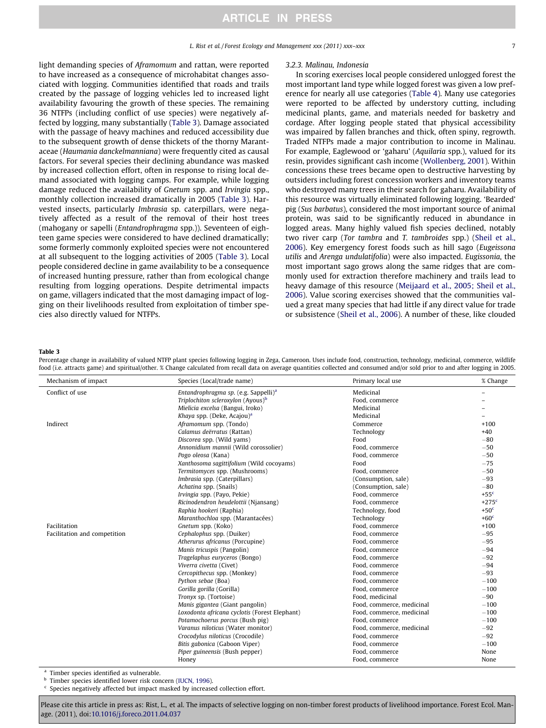light demanding species of Aframomum and rattan, were reported to have increased as a consequence of microhabitat changes associated with logging. Communities identified that roads and trails created by the passage of logging vehicles led to increased light availability favouring the growth of these species. The remaining 36 NTFPs (including conflict of use species) were negatively affected by logging, many substantially (Table 3). Damage associated with the passage of heavy machines and reduced accessibility due to the subsequent growth of dense thickets of the thorny Marantaceae (Haumania danckelmanniana) were frequently cited as causal factors. For several species their declining abundance was masked by increased collection effort, often in response to rising local demand associated with logging camps. For example, while logging damage reduced the availability of Gnetum spp. and Irvingia spp., monthly collection increased dramatically in 2005 (Table 3). Harvested insects, particularly Imbrasia sp. caterpillars, were negatively affected as a result of the removal of their host trees (mahogany or sapelli (Entandrophragma spp.)). Seventeen of eighteen game species were considered to have declined dramatically; some formerly commonly exploited species were not encountered at all subsequent to the logging activities of 2005 (Table 3). Local people considered decline in game availability to be a consequence of increased hunting pressure, rather than from ecological change resulting from logging operations. Despite detrimental impacts on game, villagers indicated that the most damaging impact of logging on their livelihoods resulted from exploitation of timber species also directly valued for NTFPs.

#### 3.2.3. Malinau, Indonesia

In scoring exercises local people considered unlogged forest the most important land type while logged forest was given a low preference for nearly all use categories ([Table 4](#page-7-0)). Many use categories were reported to be affected by understory cutting, including medicinal plants, game, and materials needed for basketry and cordage. After logging people stated that physical accessibility was impaired by fallen branches and thick, often spiny, regrowth. Traded NTFPs made a major contribution to income in Malinau. For example, Eaglewood or 'gaharu' (Aquilaria spp.), valued for its resin, provides significant cash income [\(Wollenberg, 2001](#page-12-0)). Within concessions these trees became open to destructive harvesting by outsiders including forest concession workers and inventory teams who destroyed many trees in their search for gaharu. Availability of this resource was virtually eliminated following logging. 'Bearded' pig (Sus barbatus), considered the most important source of animal protein, was said to be significantly reduced in abundance in logged areas. Many highly valued fish species declined, notably two river carp (Tor tambra and T. tambroides spp.) ([Sheil et al.,](#page-11-0) [2006](#page-11-0)). Key emergency forest foods such as hill sago (Eugeissona utilis and Arenga undulatifolia) were also impacted. Eugissonia, the most important sago grows along the same ridges that are commonly used for extraction therefore machinery and trails lead to heavy damage of this resource [\(Meijaard et al., 2005; Sheil et al.,](#page-11-0) [2006](#page-11-0)). Value scoring exercises showed that the communities valued a great many species that had little if any direct value for trade or subsistence [\(Sheil et al., 2006](#page-11-0)). A number of these, like clouded

#### Table 3

Percentage change in availability of valued NTFP plant species following logging in Zega, Cameroon. Uses include food, construction, technology, medicinal, commerce, wildlife food (i.e. attracts game) and spiritual/other. % Change calculated from recall data on average quantities collected and consumed and/or sold prior to and after logging in 2005.

| Mechanism of impact          | Species (Local/trade name)                       | Primary local use         | % Change            |
|------------------------------|--------------------------------------------------|---------------------------|---------------------|
| Conflict of use              | Entandrophragma sp. (e.g. Sappelli) <sup>a</sup> | Medicinal                 |                     |
|                              | Triplochiton scleroxylon (Ayous) <sup>b</sup>    | Food, commerce            |                     |
|                              | Mielicia excelsa (Bangui, Iroko)                 | Medicinal                 |                     |
|                              | Khaya spp. (Deke, Acajou) <sup>a</sup>           | Medicinal                 |                     |
| Indirect                     | Aframomum spp. (Tondo)                           | Commerce                  | $+100$              |
|                              | Calamus deërratus (Rattan)                       | Technology                | $+40$               |
|                              | Discorea spp. (Wild yams)                        | Food                      | $-80$               |
|                              | Annonidium mannii (Wild corossolier)             | Food, commerce            | $-50$               |
|                              | Pogo oleosa (Kana)                               | Food, commerce            | $-50$               |
|                              | Xanthosoma sagittifolium (Wild cocoyams)         | Food                      | $-75$               |
|                              | Termitomyces spp. (Mushrooms)                    | Food, commerce            | $-50$               |
|                              | Imbrasia spp. (Caterpillars)                     | (Consumption, sale)       | $-93$               |
|                              | Achatina spp. (Snails)                           | (Consumption, sale)       | $-80$               |
|                              | Irvingia spp. (Payo, Pekie)                      | Food, commerce            | $+55c$              |
|                              | Ricinodendron heudelottii (Njansang)             | Food, commerce            | $+275$ <sup>c</sup> |
|                              | Raphia hookeri (Raphia)                          | Technology, food          | $+50c$              |
|                              | Maranthochloa spp. (Marantacées)                 | Technology                | $+60c$              |
| Facilitation                 | Gnetum spp. (Koko)                               | Food, commerce            | $+100$              |
| Facilitation and competition | Cephalophus spp. (Duiker)                        | Food, commerce            | $-95$               |
|                              | Atherurus africanus (Porcupine)                  | Food, commerce            | $-95$               |
|                              | Manis tricuspis (Pangolin)                       | Food, commerce            | $-94$               |
|                              | Tragelaphus euryceros (Bongo)                    | Food, commerce            | $-92$               |
|                              | Viverra civetta (Civet)                          | Food, commerce            | $-94$               |
|                              | Cercopithecus spp. (Monkey)                      | Food, commerce            | $-93$               |
|                              | Python sebae (Boa)                               | Food, commerce            | $-100$              |
|                              | Gorilla gorilla (Gorilla)                        | Food, commerce            | $-100$              |
|                              | Tronyx sp. (Tortoise)                            | Food, medicinal           | $-90$               |
|                              | Manis gigantea (Giant pangolin)                  | Food, commerce, medicinal | $-100$              |
|                              | Loxodonta africana cyclotis (Forest Elephant)    | Food, commerce, medicinal | $-100$              |
|                              | Potamochoerus porcus (Bush pig)                  | Food, commerce            | $-100$              |
|                              | Varanus niloticus (Water monitor)                | Food, commerce, medicinal | $-92$               |
|                              | Crocodylus niloticus (Crocodile)                 | Food, commerce            | $-92$               |
|                              | Bitis gabonica (Gaboon Viper)                    | Food, commerce            | $-100$              |
|                              | Piper guineensis (Bush pepper)                   | Food, commerce            | None                |
|                              | Honey                                            | Food, commerce            | None                |

<sup>a</sup> Timber species identified as vulnerable.

Timber species identified lower risk concern [\(IUCN, 1996\)](#page-10-0).

Species negatively affected but impact masked by increased collection effort.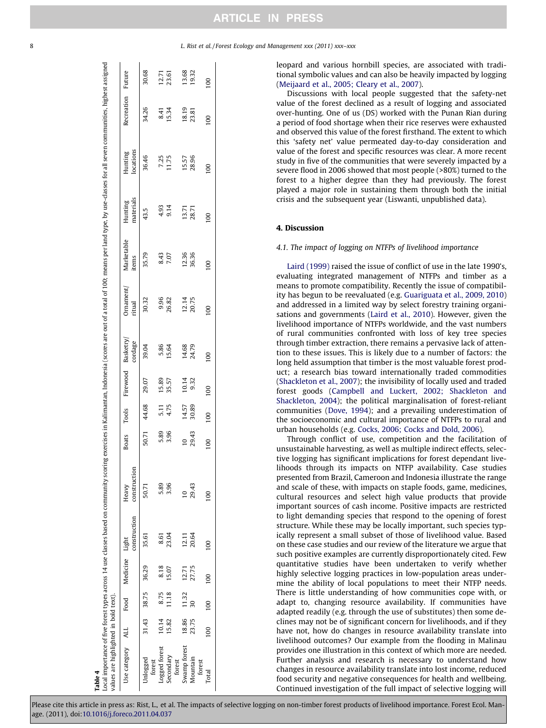|                 |                                                                     |                 | <b>ARTICLE</b>                  |
|-----------------|---------------------------------------------------------------------|-----------------|---------------------------------|
|                 |                                                                     |                 | L. Rist et al./Forest Ecology a |
|                 | $\begin{array}{cc} 12.71 \\ 23.61 \\ 13.68 \\ 19.32 \end{array}$    | 100             |                                 |
|                 | 8.41<br>15.34<br>18.19<br>23.81                                     | 100             |                                 |
|                 | 7.25<br>11.75<br>15.57<br>28.96                                     | 100             |                                 |
|                 | $4.93$<br>9.14<br>13.71<br>28.71                                    | 100             |                                 |
|                 | 8.43<br>7.07<br>12.36<br>36.36                                      | 100             |                                 |
|                 | $9.96$<br>$26.82$<br>$12.14$<br>$20.75$                             | $\overline{00}$ |                                 |
|                 | 5.86<br>15.64<br>14.68<br>24.79                                     | 100             |                                 |
|                 | $\begin{array}{cc}\n 15.89 \\ 35.57 \\ 10.14 \\ 9.32\n \end{array}$ | 100             |                                 |
| 5.11<br>4.75    | 14.57<br>30.89                                                      |                 |                                 |
| 5.89<br>3.96    | $\frac{10}{29.43}$                                                  |                 |                                 |
| 5.89<br>3.96    | $\frac{10}{29.43}$                                                  |                 |                                 |
|                 | 8.61<br>23.04<br>12.11<br>20.64                                     | 100             |                                 |
| $8.18$<br>15.07 | 12.71<br>27.75                                                      |                 |                                 |
| 8.75<br>11.18   | $\frac{11.32}{30}$                                                  | 100 100 100     |                                 |
| 10.14<br>15.82  | 18.86<br>23.75                                                      |                 |                                 |
| gged forest     | Secondary<br>forest<br>wamp forest<br>1ountain<br>forest            | otal            |                                 |

<span id="page-7-0"></span>8 **B.** Rist et al. / Forest Ecology and Management xxx (2011) xxx–xxx

leopard and various hornbill species, are associated with traditional symbolic values and can also be heavily impacted by logging ([Meijaard et al., 2005; Cleary et al., 2007](#page-11-0)).

Discussions with local people suggested that the safety-net value of the forest declined as a result of logging and associated over-hunting. One of us (DS) worked with the Punan Rian during a period of food shortage when their rice reserves were exhausted and observed this value of the forest firsthand. The extent to which this 'safety net' value permeated day-to-day consideration and value of the forest and specific resources was clear. A more recent study in five of the communities that were severely impacted by a severe flood in 2006 showed that most people (>80%) turned to the forest to a higher degree than they had previously. The forest played a major role in sustaining them through both the initial crisis and the subsequent year (Liswanti, unpublished data).

## 4. Discussion

## 4.1. The impact of logging on NTFPs of livelihood importance

[Laird \(1999\)](#page-10-0) raised the issue of conflict of use in the late 1990's, evaluating integrated management of NTFPs and timber as a means to promote compatibility. Recently the issue of compatibility has begun to be reevaluated (e.g. [Guariguata et al., 2009, 2010\)](#page-10-0) and addressed in a limited way by select forestry training organisations and governments [\(Laird et al., 2010\)](#page-11-0). However, given the livelihood importance of NTFPs worldwide, and the vast numbers of rural communities confronted with loss of key tree species through timber extraction, there remains a pervasive lack of attention to these issues. This is likely due to a number of factors: the long held assumption that timber is the most valuable forest product; a research bias toward internationally traded commodities ([Shackleton et al., 2007\)](#page-11-0); the invisibility of locally used and traded forest goods [\(Campbell and Luckert, 2002; Shackleton and](#page-10-0) [Shackleton, 2004\)](#page-10-0); the political marginalisation of forest-reliant communities ([Dove, 1994\)](#page-10-0); and a prevailing underestimation of the socioeconomic and cultural importance of NTFPs to rural and urban households (e.g. [Cocks, 2006; Cocks and Dold, 2006](#page-10-0)).

Through conflict of use, competition and the facilitation of unsustainable harvesting, as well as multiple indirect effects, selective logging has significant implications for forest dependant livelihoods through its impacts on NTFP availability. Case studies presented from Brazil, Cameroon and Indonesia illustrate the range and scale of these, with impacts on staple foods, game, medicines, cultural resources and select high value products that provide important sources of cash income. Positive impacts are restricted to light demanding species that respond to the opening of forest structure. While these may be locally important, such species typically represent a small subset of those of livelihood value. Based on these case studies and our review of the literature we argue that such positive examples are currently disproportionately cited. Few quantitative studies have been undertaken to verify whether highly selective logging practices in low-population areas undermine the ability of local populations to meet their NTFP needs. There is little understanding of how communities cope with, or adapt to, changing resource availability. If communities have adapted readily (e.g. through the use of substitutes) then some declines may not be of significant concern for livelihoods, and if they have not, how do changes in resource availability translate into livelihood outcomes? Our example from the flooding in Malinau provides one illustration in this context of which more are needed. Further analysis and research is necessary to understand how changes in resource availability translate into lost income, reduced food security and negative consequences for health and wellbeing. Continued investigation of the full impact of selective logging will

forest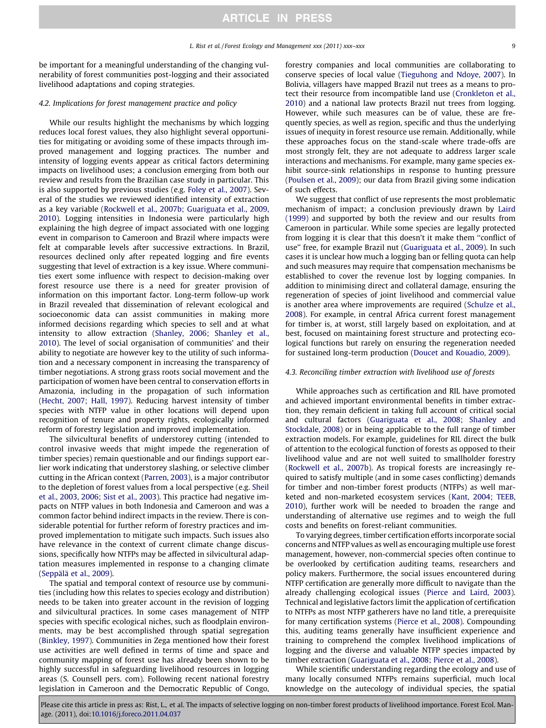be important for a meaningful understanding of the changing vulnerability of forest communities post-logging and their associated livelihood adaptations and coping strategies.

## 4.2. Implications for forest management practice and policy

While our results highlight the mechanisms by which logging reduces local forest values, they also highlight several opportunities for mitigating or avoiding some of these impacts through improved management and logging practices. The number and intensity of logging events appear as critical factors determining impacts on livelihood uses; a conclusion emerging from both our review and results from the Brazilian case study in particular. This is also supported by previous studies (e.g. [Foley et al., 2007\)](#page-10-0). Several of the studies we reviewed identified intensity of extraction as a key variable [\(Rockwell et al., 2007b; Guariguata et al., 2009,](#page-11-0) [2010](#page-11-0)). Logging intensities in Indonesia were particularly high explaining the high degree of impact associated with one logging event in comparison to Cameroon and Brazil where impacts were felt at comparable levels after successive extractions. In Brazil, resources declined only after repeated logging and fire events suggesting that level of extraction is a key issue. Where communities exert some influence with respect to decision-making over forest resource use there is a need for greater provision of information on this important factor. Long-term follow-up work in Brazil revealed that dissemination of relevant ecological and socioeconomic data can assist communities in making more informed decisions regarding which species to sell and at what intensity to allow extraction [\(Shanley, 2006; Shanley et al.,](#page-11-0) [2010](#page-11-0)). The level of social organisation of communities' and their ability to negotiate are however key to the utility of such information and a necessary component in increasing the transparency of timber negotiations. A strong grass roots social movement and the participation of women have been central to conservation efforts in Amazonia, including in the propagation of such information ([Hecht, 2007; Hall, 1997\)](#page-10-0). Reducing harvest intensity of timber species with NTFP value in other locations will depend upon recognition of tenure and property rights, ecologically informed reform of forestry legislation and improved implementation.

The silvicultural benefits of understorey cutting (intended to control invasive weeds that might impede the regeneration of timber species) remain questionable and our findings support earlier work indicating that understorey slashing, or selective climber cutting in the African context ([Parren, 2003](#page-11-0)), is a major contributor to the depletion of forest values from a local perspective (e.g. [Sheil](#page-11-0) [et al., 2003, 2006; Sist et al., 2003\)](#page-11-0). This practice had negative impacts on NTFP values in both Indonesia and Cameroon and was a common factor behind indirect impacts in the review. There is considerable potential for further reform of forestry practices and improved implementation to mitigate such impacts. Such issues also have relevance in the context of current climate change discussions, specifically how NTFPs may be affected in silvicultural adaptation measures implemented in response to a changing climate ([Seppälä et al., 2009\)](#page-11-0).

The spatial and temporal context of resource use by communities (including how this relates to species ecology and distribution) needs to be taken into greater account in the revision of logging and silvicultural practices. In some cases management of NTFP species with specific ecological niches, such as floodplain environments, may be best accomplished through spatial segregation ([Binkley, 1997](#page-10-0)). Communities in Zega mentioned how their forest use activities are well defined in terms of time and space and community mapping of forest use has already been shown to be highly successful in safeguarding livelihood resources in logging areas (S. Counsell pers. com). Following recent national forestry legislation in Cameroon and the Democratic Republic of Congo, forestry companies and local communities are collaborating to conserve species of local value ([Tieguhong and Ndoye, 2007\)](#page-11-0). In Bolivia, villagers have mapped Brazil nut trees as a means to protect their resource from incompatible land use [\(Cronkleton et al.,](#page-10-0) [2010](#page-10-0)) and a national law protects Brazil nut trees from logging. However, while such measures can be of value, these are frequently species, as well as region, specific and thus the underlying issues of inequity in forest resource use remain. Additionally, while these approaches focus on the stand-scale where trade-offs are most strongly felt, they are not adequate to address larger scale interactions and mechanisms. For example, many game species exhibit source-sink relationships in response to hunting pressure ([Poulsen et al., 2009\)](#page-11-0); our data from Brazil giving some indication of such effects.

We suggest that conflict of use represents the most problematic mechanism of impact; a conclusion previously drawn by [Laird](#page-10-0) [\(1999\)](#page-10-0) and supported by both the review and our results from Cameroon in particular. While some species are legally protected from logging it is clear that this doesn't it make them ''conflict of use'' free, for example Brazil nut ([Guariguata et al., 2009](#page-10-0)). In such cases it is unclear how much a logging ban or felling quota can help and such measures may require that compensation mechanisms be established to cover the revenue lost by logging companies. In addition to minimising direct and collateral damage, ensuring the regeneration of species of joint livelihood and commercial value is another area where improvements are required ([Schulze et al.,](#page-11-0) [2008](#page-11-0)). For example, in central Africa current forest management for timber is, at worst, still largely based on exploitation, and at best, focused on maintaining forest structure and protecting ecological functions but rarely on ensuring the regeneration needed for sustained long-term production [\(Doucet and Kouadio, 2009\)](#page-10-0).

#### 4.3. Reconciling timber extraction with livelihood use of forests

While approaches such as certification and RIL have promoted and achieved important environmental benefits in timber extraction, they remain deficient in taking full account of critical social and cultural factors ([Guariguata et al., 2008; Shanley and](#page-10-0) [Stockdale, 2008](#page-10-0)) or in being applicable to the full range of timber extraction models. For example, guidelines for RIL direct the bulk of attention to the ecological function of forests as opposed to their livelihood value and are not well suited to smallholder forestry ([Rockwell et al., 2007b](#page-11-0)). As tropical forests are increasingly required to satisfy multiple (and in some cases conflicting) demands for timber and non-timber forest products (NTFPs) as well marketed and non-marketed ecosystem services ([Kant, 2004; TEEB,](#page-10-0) [2010](#page-10-0)), further work will be needed to broaden the range and understanding of alternative use regimes and to weigh the full costs and benefits on forest-reliant communities.

To varying degrees, timber certification efforts incorporate social concerns and NTFP values as well as encouraging multiple use forest management, however, non-commercial species often continue to be overlooked by certification auditing teams, researchers and policy makers. Furthermore, the social issues encountered during NTFP certification are generally more difficult to navigate than the already challenging ecological issues [\(Pierce and Laird, 2003\)](#page-11-0). Technical and legislative factors limit the application of certification to NTFPs as most NTFP gatherers have no land title, a prerequisite for many certification systems ([Pierce et al., 2008\)](#page-11-0). Compounding this, auditing teams generally have insufficient experience and training to comprehend the complex livelihood implications of logging and the diverse and valuable NTFP species impacted by timber extraction ([Guariguata et al., 2008; Pierce et al., 2008](#page-10-0)).

While scientific understanding regarding the ecology and use of many locally consumed NTFPs remains superficial, much local knowledge on the autecology of individual species, the spatial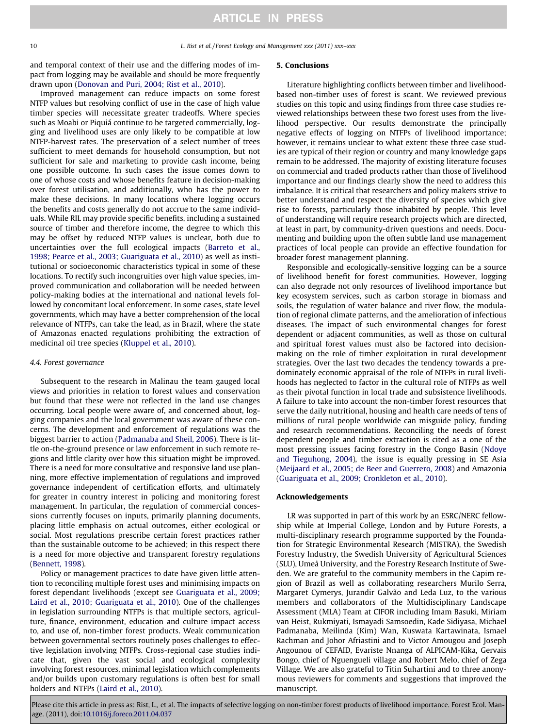and temporal context of their use and the differing modes of impact from logging may be available and should be more frequently drawn upon ([Donovan and Puri, 2004; Rist et al., 2010\)](#page-10-0).

Improved management can reduce impacts on some forest NTFP values but resolving conflict of use in the case of high value timber species will necessitate greater tradeoffs. Where species such as Moabi or Piquiá continue to be targeted commercially, logging and livelihood uses are only likely to be compatible at low NTFP-harvest rates. The preservation of a select number of trees sufficient to meet demands for household consumption, but not sufficient for sale and marketing to provide cash income, being one possible outcome. In such cases the issue comes down to one of whose costs and whose benefits feature in decision-making over forest utilisation, and additionally, who has the power to make these decisions. In many locations where logging occurs the benefits and costs generally do not accrue to the same individuals. While RIL may provide specific benefits, including a sustained source of timber and therefore income, the degree to which this may be offset by reduced NTFP values is unclear, both due to uncertainties over the full ecological impacts [\(Barreto et al.,](#page-10-0) [1998; Pearce et al., 2003; Guariguata et al., 2010](#page-10-0)) as well as institutional or socioeconomic characteristics typical in some of these locations. To rectify such incongruities over high value species, improved communication and collaboration will be needed between policy-making bodies at the international and national levels followed by concomitant local enforcement. In some cases, state level governments, which may have a better comprehension of the local relevance of NTFPs, can take the lead, as in Brazil, where the state of Amazonas enacted regulations prohibiting the extraction of medicinal oil tree species [\(Kluppel et al., 2010\)](#page-10-0).

#### 4.4. Forest governance

Subsequent to the research in Malinau the team gauged local views and priorities in relation to forest values and conservation but found that these were not reflected in the land use changes occurring. Local people were aware of, and concerned about, logging companies and the local government was aware of these concerns. The development and enforcement of regulations was the biggest barrier to action ([Padmanaba and Sheil, 2006\)](#page-11-0). There is little on-the-ground presence or law enforcement in such remote regions and little clarity over how this situation might be improved. There is a need for more consultative and responsive land use planning, more effective implementation of regulations and improved governance independent of certification efforts, and ultimately for greater in country interest in policing and monitoring forest management. In particular, the regulation of commercial concessions currently focuses on inputs, primarily planning documents, placing little emphasis on actual outcomes, either ecological or social. Most regulations prescribe certain forest practices rather than the sustainable outcome to be achieved; in this respect there is a need for more objective and transparent forestry regulations ([Bennett, 1998\)](#page-10-0).

Policy or management practices to date have given little attention to reconciling multiple forest uses and minimising impacts on forest dependant livelihoods (except see [Guariguata et al., 2009;](#page-10-0) [Laird et al., 2010; Guariguata et al., 2010\)](#page-10-0). One of the challenges in legislation surrounding NTFPs is that multiple sectors, agriculture, finance, environment, education and culture impact access to, and use of, non-timber forest products. Weak communication between governmental sectors routinely poses challenges to effective legislation involving NTFPs. Cross-regional case studies indicate that, given the vast social and ecological complexity involving forest resources, minimal legislation which complements and/or builds upon customary regulations is often best for small holders and NTFPs ([Laird et al., 2010\)](#page-11-0).

## 5. Conclusions

Literature highlighting conflicts between timber and livelihoodbased non-timber uses of forest is scant. We reviewed previous studies on this topic and using findings from three case studies reviewed relationships between these two forest uses from the livelihood perspective. Our results demonstrate the principally negative effects of logging on NTFPs of livelihood importance; however, it remains unclear to what extent these three case studies are typical of their region or country and many knowledge gaps remain to be addressed. The majority of existing literature focuses on commercial and traded products rather than those of livelihood importance and our findings clearly show the need to address this imbalance. It is critical that researchers and policy makers strive to better understand and respect the diversity of species which give rise to forests, particularly those inhabited by people. This level of understanding will require research projects which are directed, at least in part, by community-driven questions and needs. Documenting and building upon the often subtle land use management practices of local people can provide an effective foundation for broader forest management planning.

Responsible and ecologically-sensitive logging can be a source of livelihood benefit for forest communities. However, logging can also degrade not only resources of livelihood importance but key ecosystem services, such as carbon storage in biomass and soils, the regulation of water balance and river flow, the modulation of regional climate patterns, and the amelioration of infectious diseases. The impact of such environmental changes for forest dependent or adjacent communities, as well as those on cultural and spiritual forest values must also be factored into decisionmaking on the role of timber exploitation in rural development strategies. Over the last two decades the tendency towards a predominately economic appraisal of the role of NTFPs in rural livelihoods has neglected to factor in the cultural role of NTFPs as well as their pivotal function in local trade and subsistence livelihoods. A failure to take into account the non-timber forest resources that serve the daily nutritional, housing and health care needs of tens of millions of rural people worldwide can misguide policy, funding and research recommendations. Reconciling the needs of forest dependent people and timber extraction is cited as a one of the most pressing issues facing forestry in the Congo Basin [\(Ndoye](#page-11-0) [and Tieguhong, 2004\)](#page-11-0), the issue is equally pressing in SE Asia ([Meijaard et al., 2005; de Beer and Guerrero, 2008](#page-11-0)) and Amazonia ([Guariguata et al., 2009; Cronkleton et al., 2010](#page-10-0)).

#### Acknowledgements

LR was supported in part of this work by an ESRC/NERC fellowship while at Imperial College, London and by Future Forests, a multi-disciplinary research programme supported by the Foundation for Strategic Environmental Research (MISTRA), the Swedish Forestry Industry, the Swedish University of Agricultural Sciences (SLU), Umeå University, and the Forestry Research Institute of Sweden. We are grateful to the community members in the Capim region of Brazil as well as collaborating researchers Murilo Serra, Margaret Cymerys, Jurandir Galvão and Leda Luz, to the various members and collaborators of the Multidisciplinary Landscape Assessment (MLA) Team at CIFOR including Imam Basuki, Miriam van Heist, Rukmiyati, Ismayadi Samsoedin, Kade Sidiyasa, Michael Padmanaba, Meilinda (Kim) Wan, Kuswata Kartawinata, Ismael Rachman and Johor Afriastini and to Victor Amougou and Joseph Angounou of CEFAID, Evariste Nnanga of ALPICAM-Kika, Gervais Bongo, chief of Nguengueli village and Robert Melo, chief of Zega Village. We are also grateful to Titin Suhartini and to three anonymous reviewers for comments and suggestions that improved the manuscript.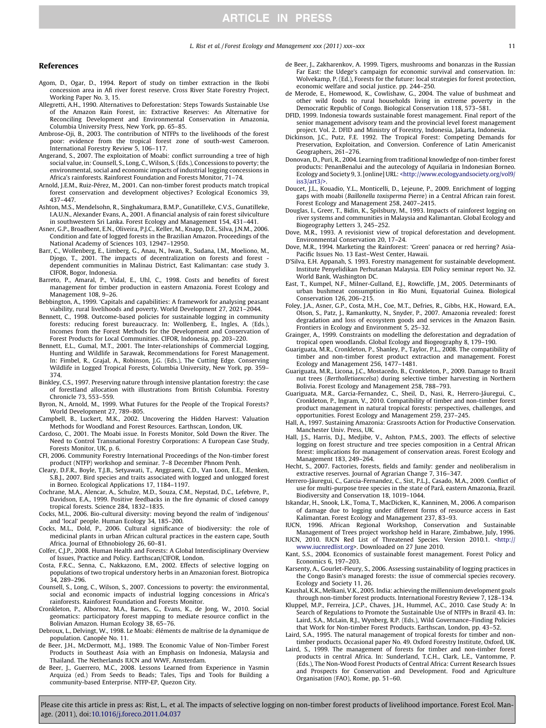#### <span id="page-10-0"></span>References

- Agom, D., Ogar, D., 1994. Report of study on timber extraction in the Ikobi concession area in Afi river forest reserve. Cross River State Forestry Project, Working Paper No. 3, 15.
- Allegretti, A.H., 1990. Alternatives to Deforestation: Steps Towards Sustainable Use of the Amazon Rain Forest, in: Extractive Reserves: An Alternative for Reconciling Development and Environmental Conservation in Amazonia, Columbia University Press, New York, pp. 65–85.
- Ambrose-Oji, B., 2003. The contribution of NTFPs to the livelihoods of the forest poor: evidence from the tropical forest zone of south-west Cameroon. International Forestry Review 5, 106–117.
- Angerand, S., 2007. The exploitation of Moabi: conflict surrounding a tree of high social value, in: Counsell, S., Long, C., Wilson, S. (Eds.), Concessions to poverty; the environmental, social and economic impacts of industrial logging concessions in Africa's rainforests. Rainforest Foundation and Forests Monitor, 71–74.
- Arnold, J.E.M., Ruiz-Pérez, M., 2001. Can non-timber forest products match tropical forest conservation and development objectives? Ecological Economics 39, 437–447.
- Ashton, M.S., Mendelsohn, R., Singhakumara, B.M.P., Gunatilleke, C.V.S., Gunatilleke, I.A.U.N., Alexander Evans, A., 2001. A financial analysis of rain forest silviculture in southwestern Sri Lanka. Forest Ecology and Management 154, 431–441.
- Asner, G.P., Broadbent, E.N., Oliveira, P.J.C., Keller, M., Knapp, D.E., Silva, J.N.M., 2006. Condition and fate of logged forests in the Brazilian Amazon. Proceedings of the National Academy of Sciences 103, 12947–12950.
- Barr, C., Wollenberg, E., Limberg, G., Anau, N., Iwan, R., Sudana, I.M., Moeliono, M., Djogo, T., 2001. The impacts of decentralization on forests and forest dependent communities in Malinau District, East Kalimantan: case study 3. CIFOR, Bogor, Indonesia.
- Barreto, P., Amaral, P., Vidal, E., Uhl, C., 1998. Costs and benefits of forest management for timber production in eastern Amazonia. Forest Ecology and Management 108, 9–26.
- Bebbington, A., 1999. 'Capitals and capabilities: A framework for analysing peasant viability, rural livelihoods and poverty. World Development 27, 2021–2044.
- Bennett, C., 1998. Outcome-based policies for sustainable logging in community forests: reducing forest bureaucracy. In: Wollenberg, E., Ingles, A. (Eds.) Incomes from the Forest Methods for the Development and Conservation of Forest Products for Local Communities. CIFOR, Indonesia, pp. 203–220.
- Bennett, E.L., Gumal, M.T., 2001. The Inter-relationships of Commercial Logging, Hunting and Wildlife in Sarawak, Recommendations for Forest Management. In: Fimbel, R., Grajal, A., Robinson, J.G. (Eds.), The Cutting Edge. Conserving Wildlife in Logged Tropical Forests, Columbia University, New York, pp. 359– 374.
- Binkley, C.S., 1997. Preserving nature through intensive plantation forestry: the case of forestland allocation with illustrations from British Columbia. Forestry Chronicle 73, 553–559.
- Byron, N., Arnold, M., 1999. What Futures for the People of the Tropical Forests? World Development 27, 789–805.
- Campbell, B., Luckert, M.K., 2002. Uncovering the Hidden Harvest: Valuation Methods for Woodland and Forest Resources. Earthscan, London, UK.
- Cardoso, C., 2001. The Moabi issue. In Forests Monitor, Sold Down the River. The Need to Control Transnational Forestry Corporations: A European Case Study, Forests Monitor, UK, p. 6.
- CFI, 2006. Community Forestry International Proceedings of the Non-timber forest product (NTFP) workshop and seminar. 7–8 December Phnom Penh.
- Cleary, D.F.R., Boyle, T.J.B., Setyawati, T., Anggraeni, C.D., Van Loon, E.E., Menken, S.B.J., 2007. Bird species and traits associated with logged and unlogged forest in Borneo. Ecological Applications 17, 1184–1197.
- Cochrane, M.A., Alencar, A., Schulze, M.D., Souza, C.M., Nepstad, D.C., Lefebvre, P., Davidson, E.A., 1999. Positive feedbacks in the fire dynamic of closed canopy tropical forests. Science 284, 1832–1835.
- Cocks, M.L., 2006. Bio-cultural diversity: moving beyond the realm of 'indigenous' and 'local' people. Human Ecology 34, 185–200.
- Cocks, M.L., Dold, P., 2006. Cultural significance of biodiversity: the role of medicinal plants in urban African cultural practices in the eastern cape, South Africa. Journal of Ethnobiology 26, 60–81.
- Colfer, C.J.P., 2008. Human Health and Forests: A Global Interdisciplinary Overview of Issues, Practice and Policy. Earthscan/CIFOR, London.
- Costa, F.R.C., Senna, C., Nakkazono, E.M., 2002. Effects of selective logging on populations of two tropical understory herbs in an Amazonian forest. Biotropica 34, 289–296.
- Counsell, S., Long, C., Wilson, S., 2007. Concessions to poverty: the environmental, social and economic impacts of industrial logging concessions in Africa's rainforests. Rainforest Foundation and Forests Monitor.
- Cronkleton, P., Albornoz, M.A., Barnes, G., Evans, K., de Jong, W., 2010. Social geomatics: participatory forest mapping to mediate resource conflict in the Bolivian Amazon. Human Ecology 38, 65–76.
- Debroux, L., Delvingt, W., 1998. Le Moabi: éléments de maîtrise de la dynamique de population. Canopée No. 11.
- de Beer, J.H., McDermott, M.J., 1989. The Economic Value of Non-Timber Forest Products in Southeast Asia with an Emphasis on Indonesia, Malaysia and Thailand. The Netherlands IUCN and WWF, Amsterdam.
- de Beer, J., Guerrero, M.C., 2008. Lessons Learned from Experience in Yasmin Arquiza (ed.) From Seeds to Beads; Tales, Tips and Tools for Building a community-based Enterprise. NTFP-EP, Quezon City.
- de Beer, J., Zakharenkov, A. 1999. Tigers, mushrooms and bonanzas in the Russian Far East: the Udege's campaign for economic survival and conservation. In: Wolvekamp, P. (Ed.), Forests for the future: local strategies for forest protection, economic welfare and social justice. pp. 244–250.
- de Merode, E., Homewood, K., Cowlishaw, G., 2004. The value of bushmeat and other wild foods to rural households living in extreme poverty in the Democratic Republic of Congo. Biological Conservation 118, 573–581.
- DFID, 1999. Indonesia towards sustainable forest management. Final report of the senior management advisory team and the provincial level forest management project. Vol. 2. DFID and Ministry of Forestry, Indonesia, Jakarta, Indonesia.
- Dickinson, J.C., Putz, F.E. 1992. The Tropical Forest: Competing Demands for Preservation, Exploitation, and Conversion. Conference of Latin Americanist Geographers, 261–276.
- Donovan, D., Puri, R., 2004. Learning from traditional knowledge of non-timber forest products: PenanBenalui and the autecology of Aquilaria in Indonesian Borneo. Ecology and Society 9, 3. [online] URL: [<http://www.ecologyandsociety.org/vol9/](http://www.ecologyandsociety.org) [iss3/art3/>.](http://www.ecologyandsociety.org)
- Doucet, J.L., Kouadio, Y.L., Monticelli, D., Lejeune, P., 2009. Enrichment of logging gaps with moabi (Baillonella toxisperma Pierre) in a Central African rain forest. Forest Ecology and Management 258, 2407–2415.
- Douglas, I., Greer, T., Bidin, K., Spilsbury, M., 1993. Impacts of rainforest logging on river systems and communities in Malaysia and Kalimantan. Global Ecology and Biogeography Letters 3, 245–252.
- Dove, M.R., 1993. A revisionist view of tropical deforestation and development. Environmental Conservation 20, 17–24.
- Dove, M.R., 1994. Marketing the Rainforest: 'Green' panacea or red herring? Asia-Pacific Issues No. 13 East–West Center, Hawaii.
- D'Silva, E.H. Appanah, S. 1993. Forestry management for sustainable development. Institute Penyelidikan Perhutanan Malaysia. EDI Policy seminar report No. 32. World Bank, Washington DC.
- East, T., Kumpel, N.F., Milner-Gulland, E.J., Rowcliffe, J.M., 2005. Determinants of urban bushmeat consumption in Rio Muni, Equatorial Guinea. Biological Conservation 126, 206–215.
- Foley, J.A., Asner, G.P., Costa, M.H., Coe, M.T., Defries, R., Gibbs, H.K., Howard, E.A., Olson, S., Patz, J., Ramankutty, N., Snyder, P., 2007. Amazonia revealed: forest degradation and loss of ecosystem goods and services in the Amazon Basin. Frontiers in Ecology and Environment 5, 25–32.
- Grainger, A., 1999. Constraints on modelling the deforestation and degradation of tropical open woodlands. Global Ecology and Biogeography 8, 179–190.
- Guariguata, M.R., Cronkleton, P., Shanley, P., Taylor, P.L., 2008. The compatibility of timber and non-timber forest product extraction and management. Forest Ecology and Management 256, 1477–1481.
- Guariguata, M.R., Licona, J.C., Mostacedo, B., Cronkleton, P., 2009. Damage to Brazil nut trees (Bertholletiaexcelsa) during selective timber harvesting in Northern
- Bolivia. Forest Ecology and Management 258, 788–793. Guariguata, M.R., Garcia-Fernandez, C., Sheil, D., Nasi, R., Herrero-Jáuregui, C., Cronkleton, P., Ingram, V., 2010. Compatibility of timber and non-timber forest product management in natural tropical forests: perspectives, challenges, and opportunities. Forest Ecology and Management 259, 237–245.
- Hall, A., 1997. Sustaining Amazonia: Grassroots Action for Productive Conservation. Manchester Univ. Press, UK.
- Hall, J.S., Harris, D.J., Medjibe, V., Ashton, P.M.S., 2003. The effects of selective logging on forest structure and tree species composition in a Central African forest: implications for management of conservation areas. Forest Ecology and Management 183, 249–264.
- Hecht, S., 2007. Factories, forests, fields and family: gender and neoliberalism in extractive reserves. Journal of Agrarian Change 7, 316–347.
- Herrero-Jáuregui, C., Garcia-Fernandez, C., Sist, P.L.J., Casado, M.A., 2009. Conflict of use for multi-purpose tree species in the state of Pará, eastern Amazonia, Brazil. Biodiversity and Conservation 18, 1019–1044.
- Iskandar, H., Snook, L.K., Toma, T., MacDicken, K., Kanninen, M., 2006. A comparison of damage due to logging under different forms of resource access in East Kalimantan. Forest Ecology and Management 237, 83–93.
- IUCN, 1996. African Regional Workshop, Conservation and Sustainable Management of Trees project workshop held in Harare, Zimbabwe, July, 1996.
- IUCN, 2010. IUCN Red List of Threatened Species. Version 2010.1. <[http://](http://www.iucnredlist.org) [www.iucnredlist.org>](http://www.iucnredlist.org). Downloaded on 27 June 2010.
- Kant, S.S., 2004. Economics of sustainable forest management. Forest Policy and Economics 6, 197–203.
- Karsenty, A., Gourlet-Fleury, S., 2006. Assessing sustainability of logging practices in the Congo Basin's managed forests: the issue of commercial species recovery. Ecology and Society 11, 26.
- Kaushal, K.K., Melkani, V.K., 2005. India: achieving themillennium development goals through non-timber forest products. International Forestry Review 7, 128–134.
- Kluppel, M.P., Ferreira, J.C.P., Chaves, J.H., Hummel, A.C., 2010. Case Study A: In Search of Regulations to Promote the Sustainable Use of NTFPs in Brazil 43. In: Laird, S.A., McLain, R.J., Wynberg, R.P. (Eds.), Wild Governance–Finding Policies that Work for Non-timber Forest Products. Earthscan, London, pp. 43–52.
- Laird, S.A., 1995. The natural management of tropical forests for timber and nontimber products. Occasional paper No. 49. Oxford Forestry Institute, Oxford, UK.
- Laird, S., 1999. The management of forests for timber and non-timber forest products in central Africa. In: Sunderland, T.C.H., Clark, L.E., Vantomme, P. (Eds.), The Non-Wood Forest Products of Central Africa: Current Research Issues and Prospects for Conservation and Development. Food and Agriculture Organisation (FAO), Rome, pp. 51–60.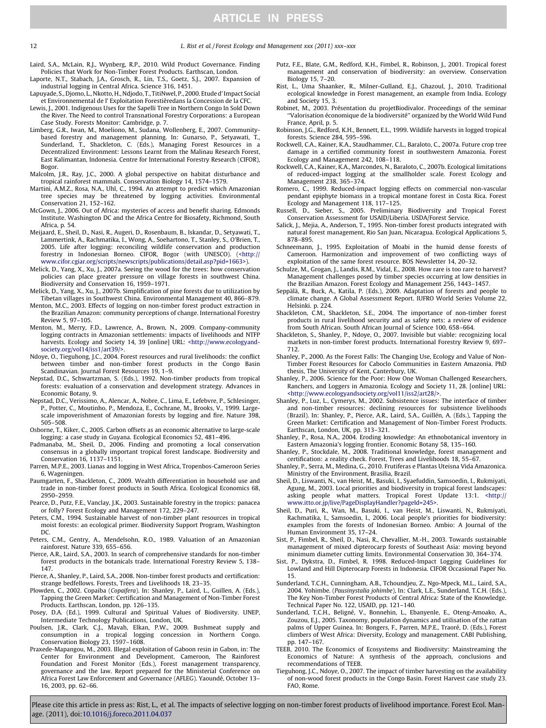<span id="page-11-0"></span>Laird, S.A., McLain, R.J., Wynberg, R.P., 2010. Wild Product Governance. Finding Policies that Work for Non-Timber Forest Products. Earthscan, London.

- Laporte, N.T., Stabach, J.A., Grosch, R., Lin, T.S., Goetz, S.J., 2007. Expansion of industrial logging in Central Africa. Science 316, 1451.
- Lapuyade, S., Djomo, L., Nkotto, H., Ndjodo, T., TitiNwel, P., 2000. Etude d' Impact Social et Environnemental de l' Exploitation Forestièredans la Concession de la CFC.

Lewis, J., 2001. Indigenous Uses for the Sapelli Tree in Northern Congo In Sold Down the River. The Need to control Transnational Forestry Corporations: a European Case Study. Forests Monitor: Cambridge, p. 7.

- Limberg, G.R., Iwan, M., Moeliono, M., Sudana, Wollenberg, E., 2007. Communitybased forestry and management planning. In: Gunarso, P., Setyawati, T., Sunderland, T., Shackleton, C. (Eds.), Managing Forest Resources in a Decentralized Environment: Lessons Learnt from the Malinau Research Forest, East Kalimantan, Indonesia. Centre for International Forestry Research (CIFOR), Bogor.
- Malcolm, J.R., Ray, J.C., 2000. A global perspective on habitat disturbance and tropical rainforest mammals. Conservation Biology 14, 1574–1579.
- Martini, A.M.Z., Rosa, N.A., Uhl, C., 1994. An attempt to predict which Amazonian tree species may be threatened by logging activities. Environmental Conservation 21, 152–162.
- McGown, J., 2006. Out of Africa: mysteries of access and benefit sharing. Edmonds Institute. Washington DC and the Africa Centre for Biosafety, Richmond, South Africa, p. 54.
- Meijaard, E., Sheil, D., Nasi, R., Augeri, D., Rosenbaum, B., Iskandar, D., Setyawati, T., Lammertink, A., Rachmatika, I., Wong, A., Soehartono, T., Stanley, S., O'Brien, T., 2005. Life after logging: reconciling wildlife conservation and production forestry in Indonesian Borneo. CIFOR, Bogor (with UNESCO). [\(<http://](http://www.cifor.cgiar.org) [www.cifor.cgiar.org/scripts/newscripts/publications/detail.asp?pid=1663>](http://www.cifor.cgiar.org)).
- Melick, D., Yang, X., Xu, J., 2007a. Seeing the wood for the trees: how conservation policies can place greater pressure on village forests in southwest China. Biodiversity and Conservation 16, 1959–1971.
- Melick, D., Yang, X., Xu, J., 2007b. Simplification of pine forests due to utilization by Tibetan villages in Southwest China. Environmental Management 40, 866–879.
- Menton, M.C., 2003. Effects of logging on non-timber forest product extraction in the Brazilian Amazon: community perceptions of change. International Forestry Review 5, 97–105.
- Menton, M., Merry, F.D., Lawrence, A., Brown, N., 2009. Company-community logging contracts in Amazonian settlements: impacts of livelihoods and NTFP harvests. Ecology and Society 14, 39 [online] URL: [<http://www.ecologyand](http://www.ecologyand-society.org)[society.org/vol14/iss1/art39/>.](http://www.ecologyand-society.org)
- Ndoye, O., Tieguhong, J.C., 2004. Forest resources and rural livelihoods: the conflict between timber and non-timber forest products in the Congo Basin Scandinavian. Journal Forest Resources 19, 1–9.
- Nepstad, D.C., Schwartzman, S. (Eds.), 1992. Non-timber products from tropical forests: evaluation of a conservation and development strategy. Advances in Economic Botany, 9.
- Nepstad, D.C., Verissimo, A., Alencar, A., Nobre, C., Lima, E., Lefebvre, P., Schlesinger, P., Potter, C., Moutinho, P., Mendoza, E., Cochrane, M., Brooks, V., 1999. Largescale impoverishment of Amazonian forests by logging and fire. Nature 398, 505–508.
- Osborne, T., Kiker, C., 2005. Carbon offsets as an economic alternative to large-scale logging: a case study in Guyana. Ecological Economics 52, 481–496.
- Padmanaba, M., Sheil, D., 2006. Finding and promoting a local conservation consensus in a globally important tropical forest landscape. Biodiversity and Conservation 16, 1137–1151.
- Parren, M.P.E., 2003. Lianas and logging in West Africa, Tropenbos-Cameroon Series 6, Wageningen.
- Paumgarten, F., Shackleton, C., 2009. Wealth differentiation in household use and trade in non-timber forest products in South Africa. Ecological Economics 68, 2950–2959.
- Pearce, D., Putz, F.E., Vanclay, J.K., 2003. Sustainable forestry in the tropics: panacea
- or folly? Forest Ecology and Management 172, 229–247. Peters, C.M., 1994. Sustainable harvest of non-timber plant resources in tropical moist forests: an ecological primer. Biodiversity Support Program, Washington DC.
- Peters, C.M., Gentry, A., Mendelsohn, R.O., 1989. Valuation of an Amazonian rainforest. Nature 339, 655–656.
- Pierce, A.R., Laird, S.A., 2003. In search of comprehensive standards for non-timber forest products in the botanicals trade. International Forestry Review 5, 138– 147.
- Pierce, A., Shanley, P., Laird, S.A., 2008. Non-timber forest products and certification: strange bedfellows. Forests, Trees and Livelihoods 18, 23–35.
- Plowden, C., 2002. Copaiba (Copaifera). In: Shanley, P., Laird, L., Guillen, A. (Eds.), Tapping the Green Market: Certification and Management of Non-Timber Forest Products. Earthscan, London, pp. 126–135.
- Posey, D.A. (Ed.), 1999. Cultural and Spiritual Values of Biodiversity. UNEP, Intermediate Technology Publications, London, UK.
- Poulsen, J.R., Clark, C.J., Mavah, Elkan, P.W., 2009. Bushmeat supply and consumption in a tropical logging concession in Northern Congo. Conservation Biology 23, 1597–1608.
- Praxede-Mapangou, M., 2003. Illegal exploitation of Gaboon resin in Gabon, in: The Center for Environment and Development, Cameroon, The Rainforest Foundation and Forest Monitor (Eds.), Forest management transparency, governance and the law. Report prepared for the Ministerial Conference on Africa Forest Law Enforcement and Governance (AFLEG). Yaoundé, October 13– 16, 2003, pp. 62–66.
- Putz, F.E., Blate, G.M., Redford, K.H., Fimbel, R., Robinson, J., 2001. Tropical forest management and conservation of biodiversity: an overview. Conservation Biology 15, 7–20.
- Rist, L., Uma Shaanker, R., Milner-Gulland, E.J., Ghazoul, J., 2010. Traditional ecological knowledge in Forest management, an example from India. Ecology and Society 15, 3.
- Robinet, M., 2003. Présentation du projetBiodivalor. Proceedings of the seminar ''Valorisation économique de la biodiversité'' organized by the World Wild Fund France, April, p. 5.
- Robinson, J.G., Redford, K.H., Bennett, E.L., 1999. Wildlife harvests in logged tropical forests. Science 284, 595–596.
- Rockwell, C.A., Kainer, K.A., Staudhammer, C.L., Baraloto, C., 2007a. Future crop tree damage in a certified community forest in southwestern Amazonia. Forest Ecology and Management 242, 108–118.
- Rockwell, C.A., Kainer, K.A., Marcondes, N., Baraloto, C., 2007b. Ecological limitations of reduced-impact logging at the smallholder scale. Forest Ecology and Management 238, 365–374.
- Romero, C., 1999. Reduced-impact logging effects on commercial non-vascular pendant epiphyte biomass in a tropical montane forest in Costa Rica. Forest Ecology and Management 118, 117–125.
- Russell, D., Sieber, S., 2005. Preliminary Biodiversity and Tropical Forest Conservation Assessment for USAID/Liberia. USDA/Forest Service.
- Salick, J., Mejia, A., Anderson, T., 1995. Non-timber forest products integrated with natural forest management, Rio San Juan, Nicaragua. Ecological Applications 5, 878–895.
- Schneemann, J., 1995. Exploitation of Moabi in the humid dense forests of Cameroon. Harmonization and improvement of two conflicting ways of exploitation of the same forest resource. BOS Newsletter 14, 20–32.
- Schulze, M., Grogan, J., Landis, R.M., Vidal, E., 2008. How rare is too rare to harvest? Management challenges posed by timber species occurring at low densities in the Brazilian Amazon. Forest Ecology and Management 256, 1443–1457.
- Seppälä, R., Buck, A., Katila, P. (Eds.), 2009. Adaptation of forests and people to climate change. A Global Assessment Report. IUFRO World Series Volume 22, Helsinki. p. 224.
- Shackleton, C.M., Shackleton, S.E., 2004. The importance of non-timber forest products in rural livelihood security and as safety nets: a review of evidence from South African. South African Journal of Science 100, 658–664.
- Shackleton, S., Shanley, P., Ndoye, O., 2007. Invisible but viable: recognizing local markets in non-timber forest products. International Forestry Review 9, 697– 712.
- Shanley, P., 2000. As the Forest Falls: The Changing Use, Ecology and Value of Non-Timber Forest Resources for Caboclo Communities in Eastern Amazonia. PhD thesis, The University of Kent, Canterbury, UK.
- Shanley, P., 2006. Science for the Poor: How One Woman Challenged Researchers, Ranchers, and Loggers in Amazonia. Ecology and Society 11, 28. [online] URL: [<http://www.ecologyandsociety.org/vol11/iss2/art28/>.](http://www.ecologyandsociety.org)
- Shanley, P., Luz, L., Cymerys, M., 2002. Subsistence issues: The interface of timber and non-timber resources: declining resources for subsistence livelihoods (Brazil). In: Shanley, P., Pierce, A.R., Laird, S.A., Guillén, A. (Eds.), Tapping the Green Market: Certification and Management of Non-Timber Forest Products. Earthscan, London, UK, pp. 313–321.
- Shanley, P., Rosa, N.A., 2004. Eroding knowledge: An ethnobotanical inventory in Eastern Amazonia's logging frontier. Economic Botany 58, 135–160.
- Shanley, P., Stockdale, M., 2008. Traditional knowledge, forest management and certification: a reality check. Forest, Trees and Livelihoods 18, 55–67.
- Shanley, P., Serra, M., Medina, G., 2010. Frutiferas e Plantas Uteisna Vida Amazonica. Ministry of the Environment, Brasilia, Brazil.
- Sheil, D., Liswanti, N., van Heist, M., Basuki, I., Syaefuddin, Samsoedin, I., Rukmiyati, Agung, M., 2003. Local priorities and biodiversity in tropical forest landscapes: asking people what matters. Tropical Forest Update 13:1. [<http://](http://www.itto.or.jp) [www.itto.or.jp/live/PageDisplayHandler?pageId=245>.](http://www.itto.or.jp)
- Sheil, D., Puri, R., Wan, M., Basuki, I., van Heist, M., Liswanti, N., Rukmiyati, Rachmatika, I., Samsoedin, I., 2006. Local people's priorities for biodiversity: examples from the forests of Indonesian Borneo. Ambio: A Journal of the Human Environment 35, 17–24.
- Sist, P., Fimbel, R., Sheil, D., Nasi, R., Chevallier, M.-H., 2003. Towards sustainable management of mixed dipterocarp forests of Southeast Asia: moving beyond minimum diameter cutting limits. Environmental Conservation 30, 364–374.
- Sist, P., Dykstra, D., Fimbel, R. 1998. Reduced-Impact Logging Guidelines for Lowland and Hill Dipterocarp Forests in Indonesia. CIFOR Occasional Paper No. 15.
- Sunderland, T.C.H., Cunningham, A.B., Tchoundjeu, Z., Ngo-Mpeck, M.L., Laird, S.A., 2004. Yohimbe. (Pausinystalia johimbe), In: Clark, L.E., Sunderland, T.C.H. (Eds.), The Key Non-Timber Forest Products of Central Africa: State of the Knowledge. Technical Paper No. 122, USAID, pp. 121–140.
- Sunderland, T.C.H., Beligné, V., Bonnehin, L., Ebanyenle, E., Oteng-Amoako, A., Zouzou, E.J., 2005. Taxonomy, population dynamics and utilisation of the rattan palms of Upper Guinea. In: Bongers, F., Parren, M.P.E., Traoré, D. (Eds.), Forest climbers of West Africa: Diversity, Ecology and management. CABI Publishing, pp. 147–167.
- TEEB, 2010. The Economics of Ecosystems and Biodiversity: Mainstreaming the Economics of Nature: A synthesis of the approach, conclusions and recommendations of TEEB.
- Tieguhong, J.C., Ndoye, O., 2007. The impact of timber harvesting on the availability of non-wood forest products in the Congo Basin. Forest Harvest case study 23. FAO, Rome.